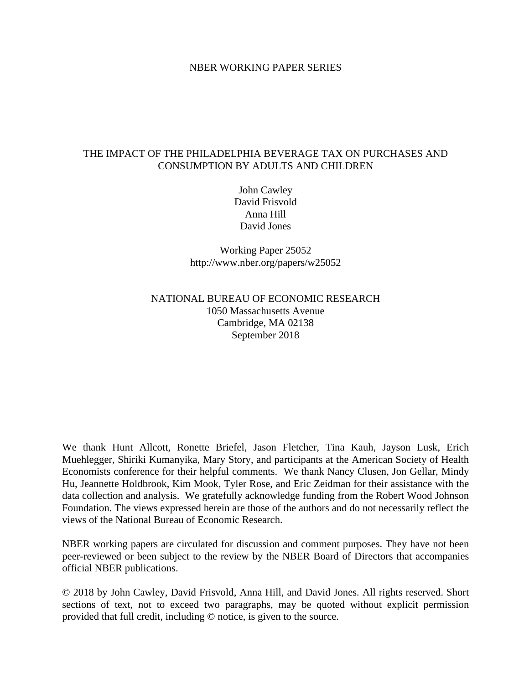# NBER WORKING PAPER SERIES

# THE IMPACT OF THE PHILADELPHIA BEVERAGE TAX ON PURCHASES AND CONSUMPTION BY ADULTS AND CHILDREN

John Cawley David Frisvold Anna Hill David Jones

Working Paper 25052 http://www.nber.org/papers/w25052

# NATIONAL BUREAU OF ECONOMIC RESEARCH 1050 Massachusetts Avenue Cambridge, MA 02138 September 2018

We thank Hunt Allcott, Ronette Briefel, Jason Fletcher, Tina Kauh, Jayson Lusk, Erich Muehlegger, Shiriki Kumanyika, Mary Story, and participants at the American Society of Health Economists conference for their helpful comments. We thank Nancy Clusen, Jon Gellar, Mindy Hu, Jeannette Holdbrook, Kim Mook, Tyler Rose, and Eric Zeidman for their assistance with the data collection and analysis. We gratefully acknowledge funding from the Robert Wood Johnson Foundation. The views expressed herein are those of the authors and do not necessarily reflect the views of the National Bureau of Economic Research.

NBER working papers are circulated for discussion and comment purposes. They have not been peer-reviewed or been subject to the review by the NBER Board of Directors that accompanies official NBER publications.

© 2018 by John Cawley, David Frisvold, Anna Hill, and David Jones. All rights reserved. Short sections of text, not to exceed two paragraphs, may be quoted without explicit permission provided that full credit, including © notice, is given to the source.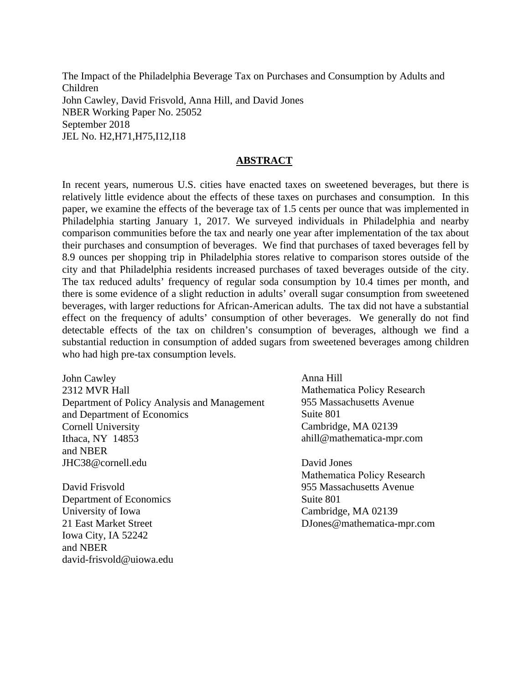The Impact of the Philadelphia Beverage Tax on Purchases and Consumption by Adults and Children John Cawley, David Frisvold, Anna Hill, and David Jones NBER Working Paper No. 25052 September 2018 JEL No. H2,H71,H75,I12,I18

# **ABSTRACT**

In recent years, numerous U.S. cities have enacted taxes on sweetened beverages, but there is relatively little evidence about the effects of these taxes on purchases and consumption. In this paper, we examine the effects of the beverage tax of 1.5 cents per ounce that was implemented in Philadelphia starting January 1, 2017. We surveyed individuals in Philadelphia and nearby comparison communities before the tax and nearly one year after implementation of the tax about their purchases and consumption of beverages. We find that purchases of taxed beverages fell by 8.9 ounces per shopping trip in Philadelphia stores relative to comparison stores outside of the city and that Philadelphia residents increased purchases of taxed beverages outside of the city. The tax reduced adults' frequency of regular soda consumption by 10.4 times per month, and there is some evidence of a slight reduction in adults' overall sugar consumption from sweetened beverages, with larger reductions for African-American adults. The tax did not have a substantial effect on the frequency of adults' consumption of other beverages. We generally do not find detectable effects of the tax on children's consumption of beverages, although we find a substantial reduction in consumption of added sugars from sweetened beverages among children who had high pre-tax consumption levels.

John Cawley 2312 MVR Hall Department of Policy Analysis and Management and Department of Economics Cornell University Ithaca, NY 14853 and NBER JHC38@cornell.edu

David Frisvold Department of Economics University of Iowa 21 East Market Street Iowa City, IA 52242 and NBER david-frisvold@uiowa.edu Anna Hill Mathematica Policy Research 955 Massachusetts Avenue Suite 801 Cambridge, MA 02139 ahill@mathematica-mpr.com

David Jones Mathematica Policy Research 955 Massachusetts Avenue Suite 801 Cambridge, MA 02139 DJones@mathematica-mpr.com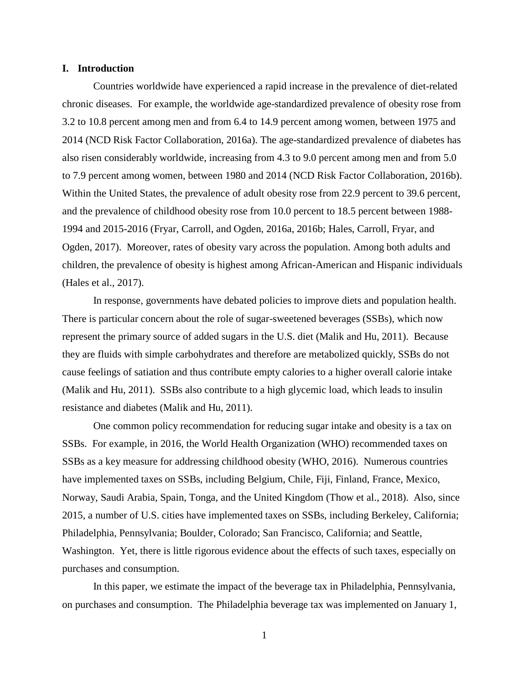## **I. Introduction**

Countries worldwide have experienced a rapid increase in the prevalence of diet-related chronic diseases. For example, the worldwide age-standardized prevalence of obesity rose from 3.2 to 10.8 percent among men and from 6.4 to 14.9 percent among women, between 1975 and 2014 (NCD Risk Factor Collaboration, 2016a). The age-standardized prevalence of diabetes has also risen considerably worldwide, increasing from 4.3 to 9.0 percent among men and from 5.0 to 7.9 percent among women, between 1980 and 2014 (NCD Risk Factor Collaboration, 2016b). Within the United States, the prevalence of adult obesity rose from 22.9 percent to 39.6 percent, and the prevalence of childhood obesity rose from 10.0 percent to 18.5 percent between 1988- 1994 and 2015-2016 (Fryar, Carroll, and Ogden, 2016a, 2016b; Hales, Carroll, Fryar, and Ogden, 2017). Moreover, rates of obesity vary across the population. Among both adults and children, the prevalence of obesity is highest among African-American and Hispanic individuals (Hales et al., 2017).

 In response, governments have debated policies to improve diets and population health. There is particular concern about the role of sugar-sweetened beverages (SSBs), which now represent the primary source of added sugars in the U.S. diet (Malik and Hu, 2011). Because they are fluids with simple carbohydrates and therefore are metabolized quickly, SSBs do not cause feelings of satiation and thus contribute empty calories to a higher overall calorie intake (Malik and Hu, 2011). SSBs also contribute to a high glycemic load, which leads to insulin resistance and diabetes (Malik and Hu, 2011).

One common policy recommendation for reducing sugar intake and obesity is a tax on SSBs. For example, in 2016, the World Health Organization (WHO) recommended taxes on SSBs as a key measure for addressing childhood obesity (WHO, 2016). Numerous countries have implemented taxes on SSBs, including Belgium, Chile, Fiji, Finland, France, Mexico, Norway, Saudi Arabia, Spain, Tonga, and the United Kingdom (Thow et al., 2018). Also, since 2015, a number of U.S. cities have implemented taxes on SSBs, including Berkeley, California; Philadelphia, Pennsylvania; Boulder, Colorado; San Francisco, California; and Seattle, Washington. Yet, there is little rigorous evidence about the effects of such taxes, especially on purchases and consumption.

In this paper, we estimate the impact of the beverage tax in Philadelphia, Pennsylvania, on purchases and consumption. The Philadelphia beverage tax was implemented on January 1,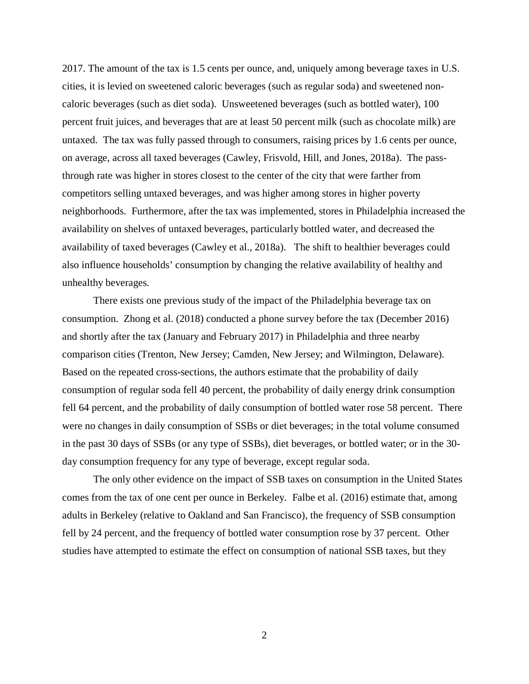2017. The amount of the tax is 1.5 cents per ounce, and, uniquely among beverage taxes in U.S. cities, it is levied on sweetened caloric beverages (such as regular soda) and sweetened noncaloric beverages (such as diet soda). Unsweetened beverages (such as bottled water), 100 percent fruit juices, and beverages that are at least 50 percent milk (such as chocolate milk) are untaxed. The tax was fully passed through to consumers, raising prices by 1.6 cents per ounce, on average, across all taxed beverages (Cawley, Frisvold, Hill, and Jones, 2018a). The passthrough rate was higher in stores closest to the center of the city that were farther from competitors selling untaxed beverages, and was higher among stores in higher poverty neighborhoods. Furthermore, after the tax was implemented, stores in Philadelphia increased the availability on shelves of untaxed beverages, particularly bottled water, and decreased the availability of taxed beverages (Cawley et al., 2018a). The shift to healthier beverages could also influence households' consumption by changing the relative availability of healthy and unhealthy beverages.

There exists one previous study of the impact of the Philadelphia beverage tax on consumption. Zhong et al. (2018) conducted a phone survey before the tax (December 2016) and shortly after the tax (January and February 2017) in Philadelphia and three nearby comparison cities (Trenton, New Jersey; Camden, New Jersey; and Wilmington, Delaware). Based on the repeated cross-sections, the authors estimate that the probability of daily consumption of regular soda fell 40 percent, the probability of daily energy drink consumption fell 64 percent, and the probability of daily consumption of bottled water rose 58 percent. There were no changes in daily consumption of SSBs or diet beverages; in the total volume consumed in the past 30 days of SSBs (or any type of SSBs), diet beverages, or bottled water; or in the 30 day consumption frequency for any type of beverage, except regular soda.

The only other evidence on the impact of SSB taxes on consumption in the United States comes from the tax of one cent per ounce in Berkeley. Falbe et al. (2016) estimate that, among adults in Berkeley (relative to Oakland and San Francisco), the frequency of SSB consumption fell by 24 percent, and the frequency of bottled water consumption rose by 37 percent. Other studies have attempted to estimate the effect on consumption of national SSB taxes, but they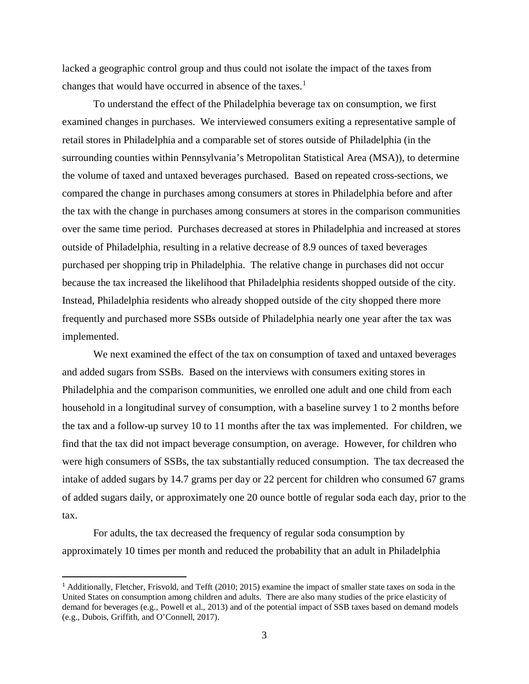lacked a geographic control group and thus could not isolate the impact of the taxes from changes that would have occurred in absence of the taxes.<sup>[1](#page-4-0)</sup>

To understand the effect of the Philadelphia beverage tax on consumption, we first examined changes in purchases. We interviewed consumers exiting a representative sample of retail stores in Philadelphia and a comparable set of stores outside of Philadelphia (in the surrounding counties within Pennsylvania's Metropolitan Statistical Area (MSA)), to determine the volume of taxed and untaxed beverages purchased. Based on repeated cross-sections, we compared the change in purchases among consumers at stores in Philadelphia before and after the tax with the change in purchases among consumers at stores in the comparison communities over the same time period. Purchases decreased at stores in Philadelphia and increased at stores outside of Philadelphia, resulting in a relative decrease of 8.9 ounces of taxed beverages purchased per shopping trip in Philadelphia. The relative change in purchases did not occur because the tax increased the likelihood that Philadelphia residents shopped outside of the city. Instead, Philadelphia residents who already shopped outside of the city shopped there more frequently and purchased more SSBs outside of Philadelphia nearly one year after the tax was implemented.

We next examined the effect of the tax on consumption of taxed and untaxed beverages and added sugars from SSBs. Based on the interviews with consumers exiting stores in Philadelphia and the comparison communities, we enrolled one adult and one child from each household in a longitudinal survey of consumption, with a baseline survey 1 to 2 months before the tax and a follow-up survey 10 to 11 months after the tax was implemented. For children, we find that the tax did not impact beverage consumption, on average. However, for children who were high consumers of SSBs, the tax substantially reduced consumption. The tax decreased the intake of added sugars by 14.7 grams per day or 22 percent for children who consumed 67 grams of added sugars daily, or approximately one 20 ounce bottle of regular soda each day, prior to the tax.

For adults, the tax decreased the frequency of regular soda consumption by approximately 10 times per month and reduced the probability that an adult in Philadelphia

l

<span id="page-4-0"></span><sup>&</sup>lt;sup>1</sup> Additionally, Fletcher, Frisvold, and Tefft (2010; 2015) examine the impact of smaller state taxes on soda in the United States on consumption among children and adults. There are also many studies of the price elasticity of demand for beverages (e.g., Powell et al., 2013) and of the potential impact of SSB taxes based on demand models (e.g., Dubois, Griffith, and O'Connell, 2017).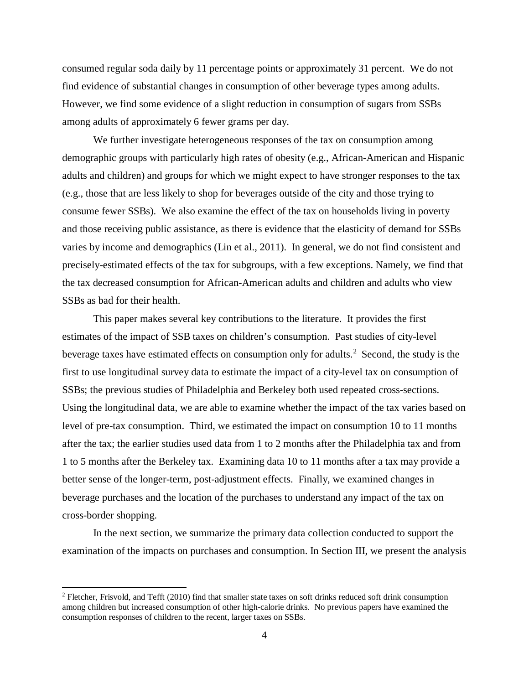consumed regular soda daily by 11 percentage points or approximately 31 percent. We do not find evidence of substantial changes in consumption of other beverage types among adults. However, we find some evidence of a slight reduction in consumption of sugars from SSBs among adults of approximately 6 fewer grams per day.

We further investigate heterogeneous responses of the tax on consumption among demographic groups with particularly high rates of obesity (e.g., African-American and Hispanic adults and children) and groups for which we might expect to have stronger responses to the tax (e.g., those that are less likely to shop for beverages outside of the city and those trying to consume fewer SSBs). We also examine the effect of the tax on households living in poverty and those receiving public assistance, as there is evidence that the elasticity of demand for SSBs varies by income and demographics (Lin et al., 2011). In general, we do not find consistent and precisely-estimated effects of the tax for subgroups, with a few exceptions. Namely, we find that the tax decreased consumption for African-American adults and children and adults who view SSBs as bad for their health.

This paper makes several key contributions to the literature. It provides the first estimates of the impact of SSB taxes on children's consumption. Past studies of city-level beverage taxes have estimated effects on consumption only for adults.<sup>[2](#page-5-0)</sup> Second, the study is the first to use longitudinal survey data to estimate the impact of a city-level tax on consumption of SSBs; the previous studies of Philadelphia and Berkeley both used repeated cross-sections. Using the longitudinal data, we are able to examine whether the impact of the tax varies based on level of pre-tax consumption. Third, we estimated the impact on consumption 10 to 11 months after the tax; the earlier studies used data from 1 to 2 months after the Philadelphia tax and from 1 to 5 months after the Berkeley tax. Examining data 10 to 11 months after a tax may provide a better sense of the longer-term, post-adjustment effects. Finally, we examined changes in beverage purchases and the location of the purchases to understand any impact of the tax on cross-border shopping.

In the next section, we summarize the primary data collection conducted to support the examination of the impacts on purchases and consumption. In Section III, we present the analysis

 $\overline{a}$ 

<span id="page-5-0"></span><sup>&</sup>lt;sup>2</sup> Fletcher, Frisvold, and Tefft (2010) find that smaller state taxes on soft drinks reduced soft drink consumption among children but increased consumption of other high-calorie drinks. No previous papers have examined the consumption responses of children to the recent, larger taxes on SSBs.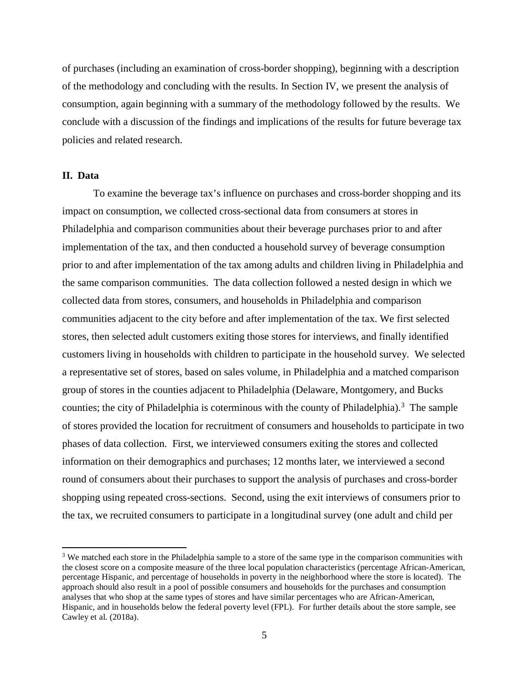of purchases (including an examination of cross-border shopping), beginning with a description of the methodology and concluding with the results. In Section IV, we present the analysis of consumption, again beginning with a summary of the methodology followed by the results. We conclude with a discussion of the findings and implications of the results for future beverage tax policies and related research.

# **II. Data**

 $\overline{a}$ 

To examine the beverage tax's influence on purchases and cross-border shopping and its impact on consumption, we collected cross-sectional data from consumers at stores in Philadelphia and comparison communities about their beverage purchases prior to and after implementation of the tax, and then conducted a household survey of beverage consumption prior to and after implementation of the tax among adults and children living in Philadelphia and the same comparison communities. The data collection followed a nested design in which we collected data from stores, consumers, and households in Philadelphia and comparison communities adjacent to the city before and after implementation of the tax. We first selected stores, then selected adult customers exiting those stores for interviews, and finally identified customers living in households with children to participate in the household survey. We selected a representative set of stores, based on sales volume, in Philadelphia and a matched comparison group of stores in the counties adjacent to Philadelphia (Delaware, Montgomery, and Bucks counties; the city of Philadelphia is coterminous with the county of Philadelphia).<sup>[3](#page-6-0)</sup> The sample of stores provided the location for recruitment of consumers and households to participate in two phases of data collection. First, we interviewed consumers exiting the stores and collected information on their demographics and purchases; 12 months later, we interviewed a second round of consumers about their purchases to support the analysis of purchases and cross-border shopping using repeated cross-sections. Second, using the exit interviews of consumers prior to the tax, we recruited consumers to participate in a longitudinal survey (one adult and child per

<span id="page-6-0"></span><sup>&</sup>lt;sup>3</sup> We matched each store in the Philadelphia sample to a store of the same type in the comparison communities with the closest score on a composite measure of the three local population characteristics (percentage African-American, percentage Hispanic, and percentage of households in poverty in the neighborhood where the store is located). The approach should also result in a pool of possible consumers and households for the purchases and consumption analyses that who shop at the same types of stores and have similar percentages who are African-American, Hispanic, and in households below the federal poverty level (FPL). For further details about the store sample, see Cawley et al. (2018a).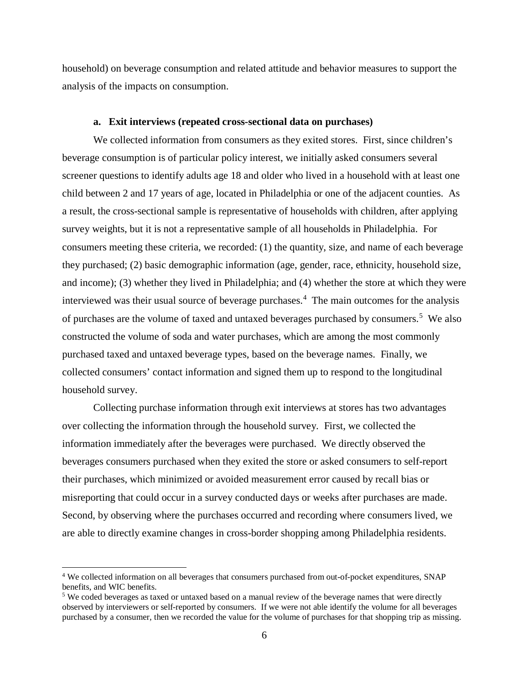household) on beverage consumption and related attitude and behavior measures to support the analysis of the impacts on consumption.

#### **a. Exit interviews (repeated cross-sectional data on purchases)**

We collected information from consumers as they exited stores. First, since children's beverage consumption is of particular policy interest, we initially asked consumers several screener questions to identify adults age 18 and older who lived in a household with at least one child between 2 and 17 years of age, located in Philadelphia or one of the adjacent counties. As a result, the cross-sectional sample is representative of households with children, after applying survey weights, but it is not a representative sample of all households in Philadelphia. For consumers meeting these criteria, we recorded: (1) the quantity, size, and name of each beverage they purchased; (2) basic demographic information (age, gender, race, ethnicity, household size, and income); (3) whether they lived in Philadelphia; and (4) whether the store at which they were interviewed was their usual source of beverage purchases.<sup>[4](#page-7-0)</sup> The main outcomes for the analysis of purchases are the volume of taxed and untaxed beverages purchased by consumers.<sup>[5](#page-7-1)</sup> We also constructed the volume of soda and water purchases, which are among the most commonly purchased taxed and untaxed beverage types, based on the beverage names. Finally, we collected consumers' contact information and signed them up to respond to the longitudinal household survey.

Collecting purchase information through exit interviews at stores has two advantages over collecting the information through the household survey. First, we collected the information immediately after the beverages were purchased. We directly observed the beverages consumers purchased when they exited the store or asked consumers to self-report their purchases, which minimized or avoided measurement error caused by recall bias or misreporting that could occur in a survey conducted days or weeks after purchases are made. Second, by observing where the purchases occurred and recording where consumers lived, we are able to directly examine changes in cross-border shopping among Philadelphia residents.

l

<span id="page-7-0"></span><sup>4</sup> We collected information on all beverages that consumers purchased from out-of-pocket expenditures, SNAP benefits, and WIC benefits.

<span id="page-7-1"></span><sup>5</sup> We coded beverages as taxed or untaxed based on a manual review of the beverage names that were directly observed by interviewers or self-reported by consumers. If we were not able identify the volume for all beverages purchased by a consumer, then we recorded the value for the volume of purchases for that shopping trip as missing.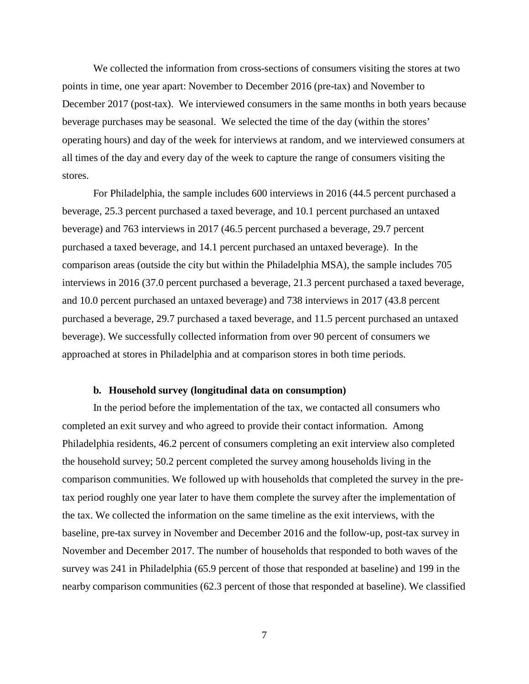We collected the information from cross-sections of consumers visiting the stores at two points in time, one year apart: November to December 2016 (pre-tax) and November to December 2017 (post-tax). We interviewed consumers in the same months in both years because beverage purchases may be seasonal. We selected the time of the day (within the stores' operating hours) and day of the week for interviews at random, and we interviewed consumers at all times of the day and every day of the week to capture the range of consumers visiting the stores.

For Philadelphia, the sample includes 600 interviews in 2016 (44.5 percent purchased a beverage, 25.3 percent purchased a taxed beverage, and 10.1 percent purchased an untaxed beverage) and 763 interviews in 2017 (46.5 percent purchased a beverage, 29.7 percent purchased a taxed beverage, and 14.1 percent purchased an untaxed beverage). In the comparison areas (outside the city but within the Philadelphia MSA), the sample includes 705 interviews in 2016 (37.0 percent purchased a beverage, 21.3 percent purchased a taxed beverage, and 10.0 percent purchased an untaxed beverage) and 738 interviews in 2017 (43.8 percent purchased a beverage, 29.7 purchased a taxed beverage, and 11.5 percent purchased an untaxed beverage). We successfully collected information from over 90 percent of consumers we approached at stores in Philadelphia and at comparison stores in both time periods.

# **b. Household survey (longitudinal data on consumption)**

In the period before the implementation of the tax, we contacted all consumers who completed an exit survey and who agreed to provide their contact information. Among Philadelphia residents, 46.2 percent of consumers completing an exit interview also completed the household survey; 50.2 percent completed the survey among households living in the comparison communities. We followed up with households that completed the survey in the pretax period roughly one year later to have them complete the survey after the implementation of the tax. We collected the information on the same timeline as the exit interviews, with the baseline, pre-tax survey in November and December 2016 and the follow-up, post-tax survey in November and December 2017. The number of households that responded to both waves of the survey was 241 in Philadelphia (65.9 percent of those that responded at baseline) and 199 in the nearby comparison communities (62.3 percent of those that responded at baseline). We classified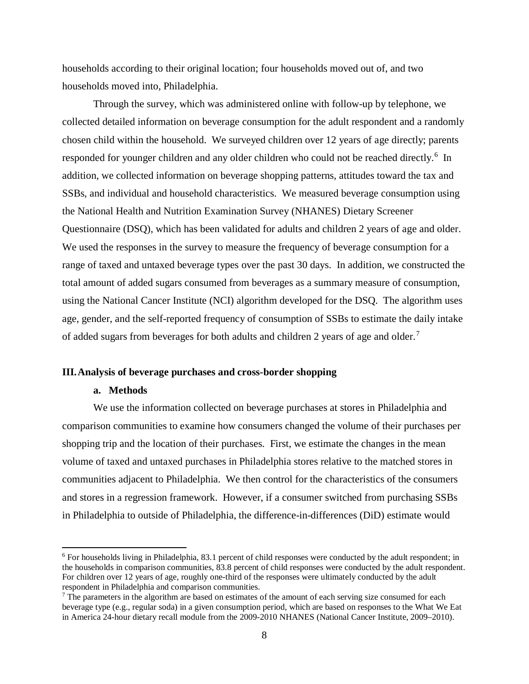households according to their original location; four households moved out of, and two households moved into, Philadelphia.

Through the survey, which was administered online with follow-up by telephone, we collected detailed information on beverage consumption for the adult respondent and a randomly chosen child within the household. We surveyed children over 12 years of age directly; parents responded for younger children and any older children who could not be reached directly.<sup>[6](#page-9-0)</sup> In addition, we collected information on beverage shopping patterns, attitudes toward the tax and SSBs, and individual and household characteristics. We measured beverage consumption using the National Health and Nutrition Examination Survey (NHANES) Dietary Screener Questionnaire (DSQ), which has been validated for adults and children 2 years of age and older. We used the responses in the survey to measure the frequency of beverage consumption for a range of taxed and untaxed beverage types over the past 30 days. In addition, we constructed the total amount of added sugars consumed from beverages as a summary measure of consumption, using the National Cancer Institute (NCI) algorithm developed for the DSQ. The algorithm uses age, gender, and the self-reported frequency of consumption of SSBs to estimate the daily intake of added sugars from beverages for both adults and children 2 years of age and older.<sup>[7](#page-9-1)</sup>

# **III.Analysis of beverage purchases and cross-border shopping**

# **a. Methods**

 $\overline{a}$ 

We use the information collected on beverage purchases at stores in Philadelphia and comparison communities to examine how consumers changed the volume of their purchases per shopping trip and the location of their purchases. First, we estimate the changes in the mean volume of taxed and untaxed purchases in Philadelphia stores relative to the matched stores in communities adjacent to Philadelphia. We then control for the characteristics of the consumers and stores in a regression framework. However, if a consumer switched from purchasing SSBs in Philadelphia to outside of Philadelphia, the difference-in-differences (DiD) estimate would

<span id="page-9-0"></span><sup>&</sup>lt;sup>6</sup> For households living in Philadelphia, 83.1 percent of child responses were conducted by the adult respondent; in the households in comparison communities, 83.8 percent of child responses were conducted by the adult respondent. For children over 12 years of age, roughly one-third of the responses were ultimately conducted by the adult respondent in Philadelphia and comparison communities.

<span id="page-9-1"></span> $7$  The parameters in the algorithm are based on estimates of the amount of each serving size consumed for each beverage type (e.g., regular soda) in a given consumption period, which are based on responses to the What We Eat in America 24-hour dietary recall module from the 2009-2010 NHANES (National Cancer Institute, 2009–2010).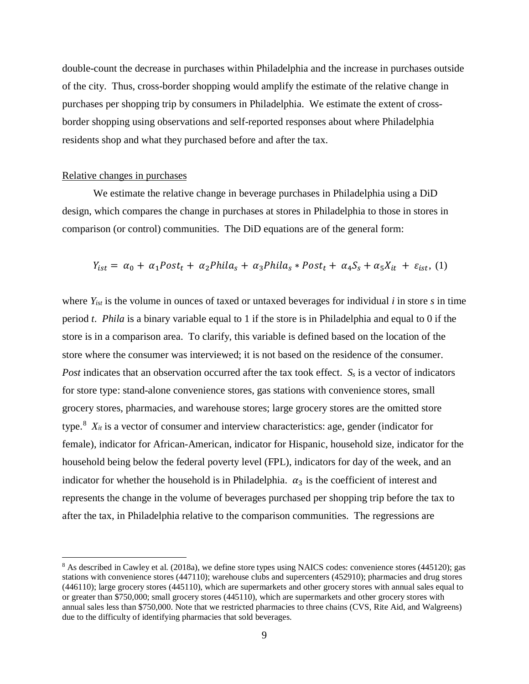double-count the decrease in purchases within Philadelphia and the increase in purchases outside of the city. Thus, cross-border shopping would amplify the estimate of the relative change in purchases per shopping trip by consumers in Philadelphia. We estimate the extent of crossborder shopping using observations and self-reported responses about where Philadelphia residents shop and what they purchased before and after the tax.

# Relative changes in purchases

 $\overline{a}$ 

We estimate the relative change in beverage purchases in Philadelphia using a DiD design, which compares the change in purchases at stores in Philadelphia to those in stores in comparison (or control) communities. The DiD equations are of the general form:

$$
Y_{ist} = \alpha_0 + \alpha_1 Post_t + \alpha_2 Phila_s + \alpha_3 Phila_s * Post_t + \alpha_4 S_s + \alpha_5 X_{it} + \varepsilon_{ist},
$$
 (1)

where *Yist* is the volume in ounces of taxed or untaxed beverages for individual *i* in store *s* in time period *t*. *Phila* is a binary variable equal to 1 if the store is in Philadelphia and equal to 0 if the store is in a comparison area. To clarify, this variable is defined based on the location of the store where the consumer was interviewed; it is not based on the residence of the consumer. *Post* indicates that an observation occurred after the tax took effect. *S<sub>s</sub>* is a vector of indicators for store type: stand-alone convenience stores, gas stations with convenience stores, small grocery stores, pharmacies, and warehouse stores; large grocery stores are the omitted store type.<sup>[8](#page-10-0)</sup>  $X_{it}$  is a vector of consumer and interview characteristics: age, gender (indicator for female), indicator for African-American, indicator for Hispanic, household size, indicator for the household being below the federal poverty level (FPL), indicators for day of the week, and an indicator for whether the household is in Philadelphia.  $\alpha_3$  is the coefficient of interest and represents the change in the volume of beverages purchased per shopping trip before the tax to after the tax, in Philadelphia relative to the comparison communities. The regressions are

<span id="page-10-0"></span><sup>&</sup>lt;sup>8</sup> As described in Cawley et al. (2018a), we define store types using NAICS codes: convenience stores (445120); gas stations with convenience stores (447110); warehouse clubs and supercenters (452910); pharmacies and drug stores (446110); large grocery stores (445110), which are supermarkets and other grocery stores with annual sales equal to or greater than \$750,000; small grocery stores (445110), which are supermarkets and other grocery stores with annual sales less than \$750,000. Note that we restricted pharmacies to three chains (CVS, Rite Aid, and Walgreens) due to the difficulty of identifying pharmacies that sold beverages.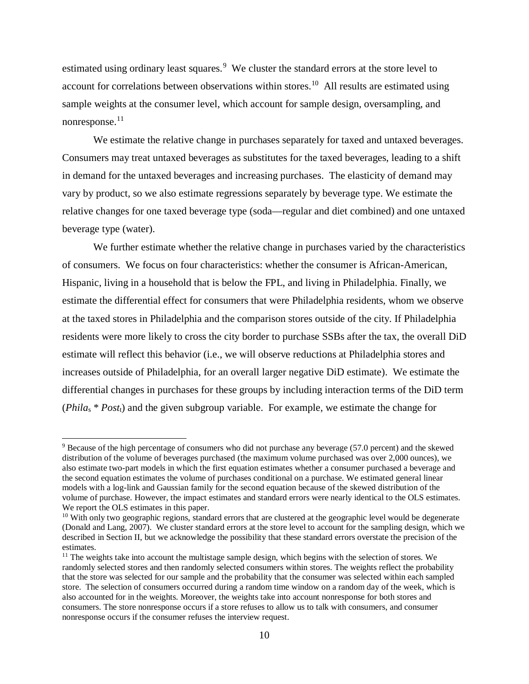estimated using ordinary least squares.<sup>[9](#page-11-0)</sup> We cluster the standard errors at the store level to account for correlations between observations within stores.<sup>10</sup> All results are estimated using sample weights at the consumer level, which account for sample design, oversampling, and nonresponse. $^{11}$  $^{11}$  $^{11}$ 

We estimate the relative change in purchases separately for taxed and untaxed beverages. Consumers may treat untaxed beverages as substitutes for the taxed beverages, leading to a shift in demand for the untaxed beverages and increasing purchases. The elasticity of demand may vary by product, so we also estimate regressions separately by beverage type. We estimate the relative changes for one taxed beverage type (soda—regular and diet combined) and one untaxed beverage type (water).

We further estimate whether the relative change in purchases varied by the characteristics of consumers. We focus on four characteristics: whether the consumer is African-American, Hispanic, living in a household that is below the FPL, and living in Philadelphia. Finally, we estimate the differential effect for consumers that were Philadelphia residents, whom we observe at the taxed stores in Philadelphia and the comparison stores outside of the city. If Philadelphia residents were more likely to cross the city border to purchase SSBs after the tax, the overall DiD estimate will reflect this behavior (i.e., we will observe reductions at Philadelphia stores and increases outside of Philadelphia, for an overall larger negative DiD estimate). We estimate the differential changes in purchases for these groups by including interaction terms of the DiD term (*Phila*<sup>s</sup> \* *Post*t) and the given subgroup variable. For example, we estimate the change for

 $\overline{a}$ 

<span id="page-11-0"></span><sup>9</sup> Because of the high percentage of consumers who did not purchase any beverage (57.0 percent) and the skewed distribution of the volume of beverages purchased (the maximum volume purchased was over 2,000 ounces), we also estimate two-part models in which the first equation estimates whether a consumer purchased a beverage and the second equation estimates the volume of purchases conditional on a purchase. We estimated general linear models with a log-link and Gaussian family for the second equation because of the skewed distribution of the volume of purchase. However, the impact estimates and standard errors were nearly identical to the OLS estimates. We report the OLS estimates in this paper.

<span id="page-11-1"></span><sup>&</sup>lt;sup>10</sup> With only two geographic regions, standard errors that are clustered at the geographic level would be degenerate (Donald and Lang, 2007). We cluster standard errors at the store level to account for the sampling design, which we described in Section II, but we acknowledge the possibility that these standard errors overstate the precision of the estimates.

<span id="page-11-2"></span><sup>&</sup>lt;sup>11</sup> The weights take into account the multistage sample design, which begins with the selection of stores. We randomly selected stores and then randomly selected consumers within stores. The weights reflect the probability that the store was selected for our sample and the probability that the consumer was selected within each sampled store. The selection of consumers occurred during a random time window on a random day of the week, which is also accounted for in the weights. Moreover, the weights take into account nonresponse for both stores and consumers. The store nonresponse occurs if a store refuses to allow us to talk with consumers, and consumer nonresponse occurs if the consumer refuses the interview request.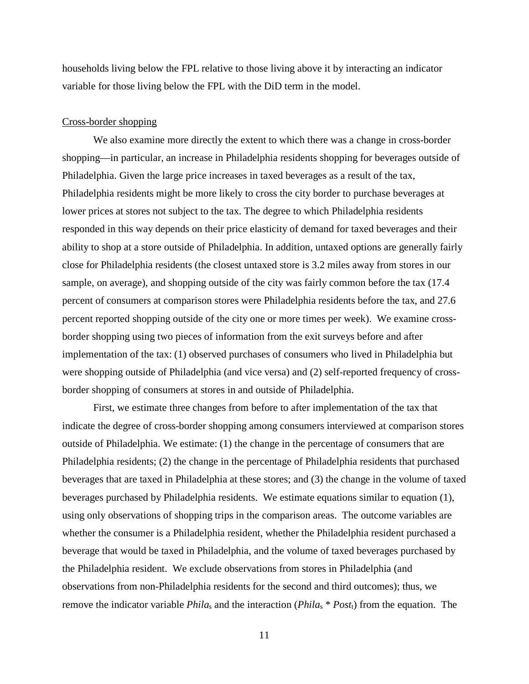households living below the FPL relative to those living above it by interacting an indicator variable for those living below the FPL with the DiD term in the model.

#### Cross-border shopping

We also examine more directly the extent to which there was a change in cross-border shopping—in particular, an increase in Philadelphia residents shopping for beverages outside of Philadelphia. Given the large price increases in taxed beverages as a result of the tax, Philadelphia residents might be more likely to cross the city border to purchase beverages at lower prices at stores not subject to the tax. The degree to which Philadelphia residents responded in this way depends on their price elasticity of demand for taxed beverages and their ability to shop at a store outside of Philadelphia. In addition, untaxed options are generally fairly close for Philadelphia residents (the closest untaxed store is 3.2 miles away from stores in our sample, on average), and shopping outside of the city was fairly common before the tax (17.4 percent of consumers at comparison stores were Philadelphia residents before the tax, and 27.6 percent reported shopping outside of the city one or more times per week). We examine crossborder shopping using two pieces of information from the exit surveys before and after implementation of the tax: (1) observed purchases of consumers who lived in Philadelphia but were shopping outside of Philadelphia (and vice versa) and (2) self-reported frequency of crossborder shopping of consumers at stores in and outside of Philadelphia.

First, we estimate three changes from before to after implementation of the tax that indicate the degree of cross-border shopping among consumers interviewed at comparison stores outside of Philadelphia. We estimate: (1) the change in the percentage of consumers that are Philadelphia residents; (2) the change in the percentage of Philadelphia residents that purchased beverages that are taxed in Philadelphia at these stores; and (3) the change in the volume of taxed beverages purchased by Philadelphia residents. We estimate equations similar to equation (1), using only observations of shopping trips in the comparison areas. The outcome variables are whether the consumer is a Philadelphia resident, whether the Philadelphia resident purchased a beverage that would be taxed in Philadelphia, and the volume of taxed beverages purchased by the Philadelphia resident. We exclude observations from stores in Philadelphia (and observations from non-Philadelphia residents for the second and third outcomes); thus, we remove the indicator variable *Phila*<sup>s</sup> and the interaction (*Phila*<sup>s</sup> \* *Post*t) from the equation. The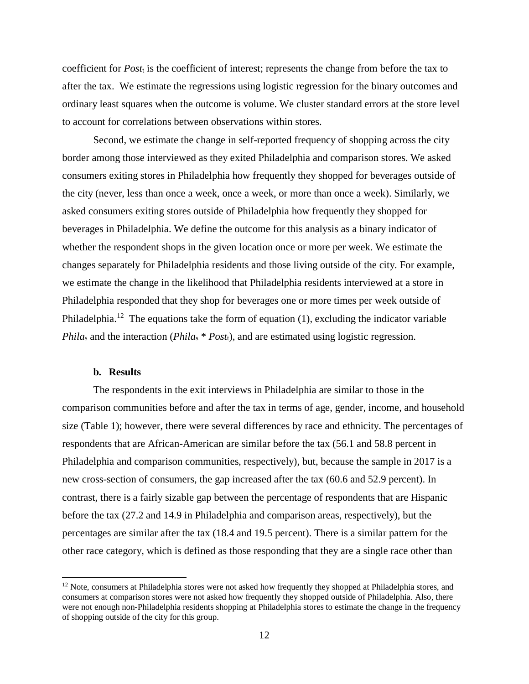coefficient for *Post*<sup>t</sup> is the coefficient of interest; represents the change from before the tax to after the tax. We estimate the regressions using logistic regression for the binary outcomes and ordinary least squares when the outcome is volume. We cluster standard errors at the store level to account for correlations between observations within stores.

Second, we estimate the change in self-reported frequency of shopping across the city border among those interviewed as they exited Philadelphia and comparison stores. We asked consumers exiting stores in Philadelphia how frequently they shopped for beverages outside of the city (never, less than once a week, once a week, or more than once a week). Similarly, we asked consumers exiting stores outside of Philadelphia how frequently they shopped for beverages in Philadelphia. We define the outcome for this analysis as a binary indicator of whether the respondent shops in the given location once or more per week. We estimate the changes separately for Philadelphia residents and those living outside of the city. For example, we estimate the change in the likelihood that Philadelphia residents interviewed at a store in Philadelphia responded that they shop for beverages one or more times per week outside of Philadelphia.<sup>[12](#page-13-0)</sup> The equations take the form of equation (1), excluding the indicator variable *Phila*<sub>s</sub> and the interaction (*Phila*<sub>s</sub> \* *Post*<sub>t</sub>), and are estimated using logistic regression.

# **b. Results**

l

The respondents in the exit interviews in Philadelphia are similar to those in the comparison communities before and after the tax in terms of age, gender, income, and household size (Table 1); however, there were several differences by race and ethnicity. The percentages of respondents that are African-American are similar before the tax (56.1 and 58.8 percent in Philadelphia and comparison communities, respectively), but, because the sample in 2017 is a new cross-section of consumers, the gap increased after the tax (60.6 and 52.9 percent). In contrast, there is a fairly sizable gap between the percentage of respondents that are Hispanic before the tax (27.2 and 14.9 in Philadelphia and comparison areas, respectively), but the percentages are similar after the tax (18.4 and 19.5 percent). There is a similar pattern for the other race category, which is defined as those responding that they are a single race other than

<span id="page-13-0"></span><sup>&</sup>lt;sup>12</sup> Note, consumers at Philadelphia stores were not asked how frequently they shopped at Philadelphia stores, and consumers at comparison stores were not asked how frequently they shopped outside of Philadelphia. Also, there were not enough non-Philadelphia residents shopping at Philadelphia stores to estimate the change in the frequency of shopping outside of the city for this group.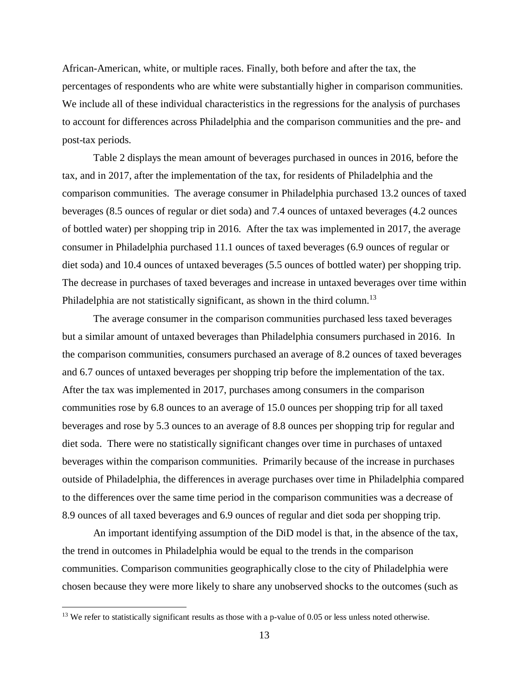African-American, white, or multiple races. Finally, both before and after the tax, the percentages of respondents who are white were substantially higher in comparison communities. We include all of these individual characteristics in the regressions for the analysis of purchases to account for differences across Philadelphia and the comparison communities and the pre- and post-tax periods.

Table 2 displays the mean amount of beverages purchased in ounces in 2016, before the tax, and in 2017, after the implementation of the tax, for residents of Philadelphia and the comparison communities. The average consumer in Philadelphia purchased 13.2 ounces of taxed beverages (8.5 ounces of regular or diet soda) and 7.4 ounces of untaxed beverages (4.2 ounces of bottled water) per shopping trip in 2016. After the tax was implemented in 2017, the average consumer in Philadelphia purchased 11.1 ounces of taxed beverages (6.9 ounces of regular or diet soda) and 10.4 ounces of untaxed beverages (5.5 ounces of bottled water) per shopping trip. The decrease in purchases of taxed beverages and increase in untaxed beverages over time within Philadelphia are not statistically significant, as shown in the third column.<sup>13</sup>

The average consumer in the comparison communities purchased less taxed beverages but a similar amount of untaxed beverages than Philadelphia consumers purchased in 2016. In the comparison communities, consumers purchased an average of 8.2 ounces of taxed beverages and 6.7 ounces of untaxed beverages per shopping trip before the implementation of the tax. After the tax was implemented in 2017, purchases among consumers in the comparison communities rose by 6.8 ounces to an average of 15.0 ounces per shopping trip for all taxed beverages and rose by 5.3 ounces to an average of 8.8 ounces per shopping trip for regular and diet soda. There were no statistically significant changes over time in purchases of untaxed beverages within the comparison communities. Primarily because of the increase in purchases outside of Philadelphia, the differences in average purchases over time in Philadelphia compared to the differences over the same time period in the comparison communities was a decrease of 8.9 ounces of all taxed beverages and 6.9 ounces of regular and diet soda per shopping trip.

An important identifying assumption of the DiD model is that, in the absence of the tax, the trend in outcomes in Philadelphia would be equal to the trends in the comparison communities. Comparison communities geographically close to the city of Philadelphia were chosen because they were more likely to share any unobserved shocks to the outcomes (such as

 $\overline{a}$ 

<span id="page-14-0"></span> $13$  We refer to statistically significant results as those with a p-value of 0.05 or less unless noted otherwise.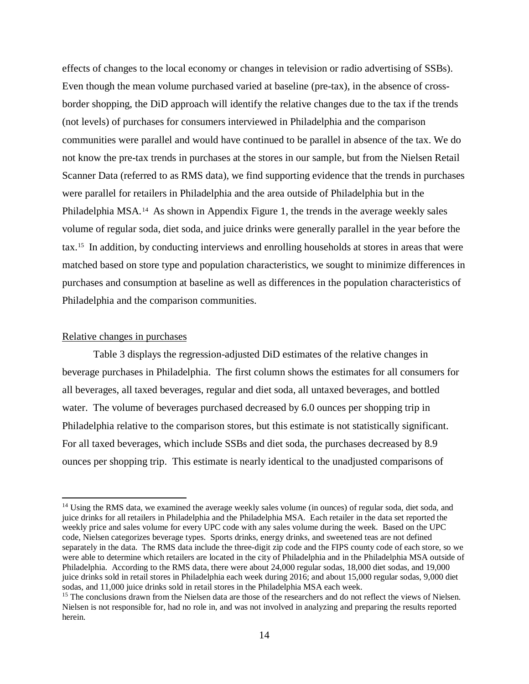effects of changes to the local economy or changes in television or radio advertising of SSBs). Even though the mean volume purchased varied at baseline (pre-tax), in the absence of crossborder shopping, the DiD approach will identify the relative changes due to the tax if the trends (not levels) of purchases for consumers interviewed in Philadelphia and the comparison communities were parallel and would have continued to be parallel in absence of the tax. We do not know the pre-tax trends in purchases at the stores in our sample, but from the Nielsen Retail Scanner Data (referred to as RMS data), we find supporting evidence that the trends in purchases were parallel for retailers in Philadelphia and the area outside of Philadelphia but in the Philadelphia MSA.[14](#page-15-0) As shown in Appendix Figure 1, the trends in the average weekly sales volume of regular soda, diet soda, and juice drinks were generally parallel in the year before the tax.[15](#page-15-1) In addition, by conducting interviews and enrolling households at stores in areas that were matched based on store type and population characteristics, we sought to minimize differences in purchases and consumption at baseline as well as differences in the population characteristics of Philadelphia and the comparison communities.

# Relative changes in purchases

 $\overline{a}$ 

Table 3 displays the regression-adjusted DiD estimates of the relative changes in beverage purchases in Philadelphia. The first column shows the estimates for all consumers for all beverages, all taxed beverages, regular and diet soda, all untaxed beverages, and bottled water. The volume of beverages purchased decreased by 6.0 ounces per shopping trip in Philadelphia relative to the comparison stores, but this estimate is not statistically significant. For all taxed beverages, which include SSBs and diet soda, the purchases decreased by 8.9 ounces per shopping trip. This estimate is nearly identical to the unadjusted comparisons of

<span id="page-15-0"></span><sup>&</sup>lt;sup>14</sup> Using the RMS data, we examined the average weekly sales volume (in ounces) of regular soda, diet soda, and juice drinks for all retailers in Philadelphia and the Philadelphia MSA. Each retailer in the data set reported the weekly price and sales volume for every UPC code with any sales volume during the week. Based on the UPC code, Nielsen categorizes beverage types. Sports drinks, energy drinks, and sweetened teas are not defined separately in the data. The RMS data include the three-digit zip code and the FIPS county code of each store, so we were able to determine which retailers are located in the city of Philadelphia and in the Philadelphia MSA outside of Philadelphia. According to the RMS data, there were about 24,000 regular sodas, 18,000 diet sodas, and 19,000 juice drinks sold in retail stores in Philadelphia each week during 2016; and about 15,000 regular sodas, 9,000 diet sodas, and 11,000 juice drinks sold in retail stores in the Philadelphia MSA each week.

<span id="page-15-1"></span><sup>&</sup>lt;sup>15</sup> The conclusions drawn from the Nielsen data are those of the researchers and do not reflect the views of Nielsen. Nielsen is not responsible for, had no role in, and was not involved in analyzing and preparing the results reported herein.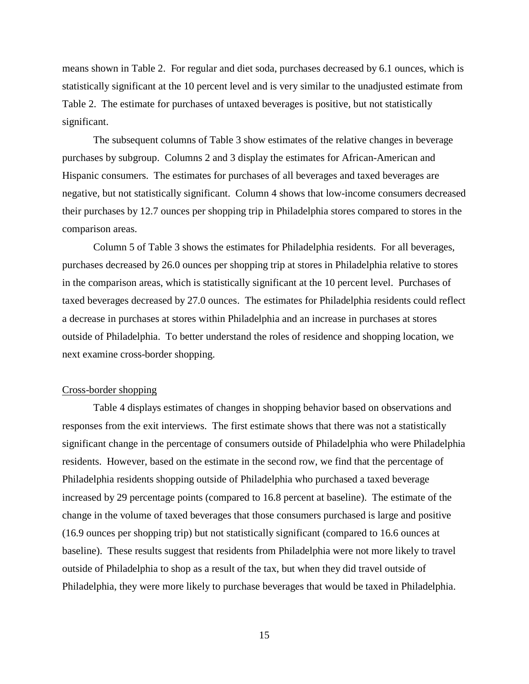means shown in Table 2. For regular and diet soda, purchases decreased by 6.1 ounces, which is statistically significant at the 10 percent level and is very similar to the unadjusted estimate from Table 2. The estimate for purchases of untaxed beverages is positive, but not statistically significant.

The subsequent columns of Table 3 show estimates of the relative changes in beverage purchases by subgroup. Columns 2 and 3 display the estimates for African-American and Hispanic consumers. The estimates for purchases of all beverages and taxed beverages are negative, but not statistically significant. Column 4 shows that low-income consumers decreased their purchases by 12.7 ounces per shopping trip in Philadelphia stores compared to stores in the comparison areas.

Column 5 of Table 3 shows the estimates for Philadelphia residents. For all beverages, purchases decreased by 26.0 ounces per shopping trip at stores in Philadelphia relative to stores in the comparison areas, which is statistically significant at the 10 percent level. Purchases of taxed beverages decreased by 27.0 ounces. The estimates for Philadelphia residents could reflect a decrease in purchases at stores within Philadelphia and an increase in purchases at stores outside of Philadelphia. To better understand the roles of residence and shopping location, we next examine cross-border shopping.

# Cross-border shopping

Table 4 displays estimates of changes in shopping behavior based on observations and responses from the exit interviews. The first estimate shows that there was not a statistically significant change in the percentage of consumers outside of Philadelphia who were Philadelphia residents. However, based on the estimate in the second row, we find that the percentage of Philadelphia residents shopping outside of Philadelphia who purchased a taxed beverage increased by 29 percentage points (compared to 16.8 percent at baseline). The estimate of the change in the volume of taxed beverages that those consumers purchased is large and positive (16.9 ounces per shopping trip) but not statistically significant (compared to 16.6 ounces at baseline). These results suggest that residents from Philadelphia were not more likely to travel outside of Philadelphia to shop as a result of the tax, but when they did travel outside of Philadelphia, they were more likely to purchase beverages that would be taxed in Philadelphia.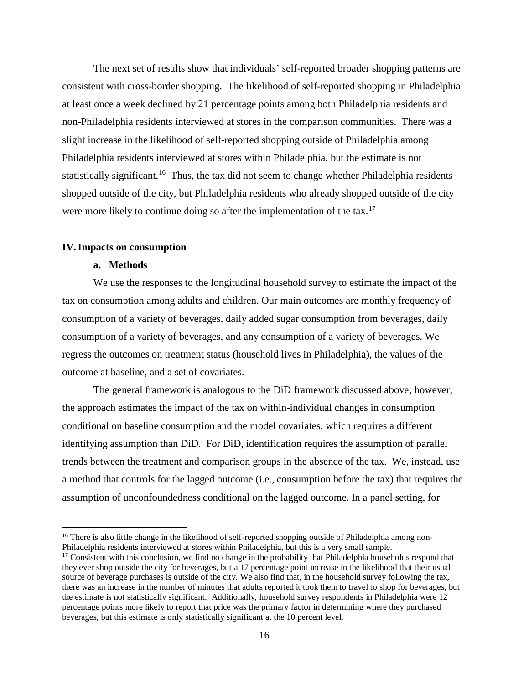The next set of results show that individuals' self-reported broader shopping patterns are consistent with cross-border shopping. The likelihood of self-reported shopping in Philadelphia at least once a week declined by 21 percentage points among both Philadelphia residents and non-Philadelphia residents interviewed at stores in the comparison communities. There was a slight increase in the likelihood of self-reported shopping outside of Philadelphia among Philadelphia residents interviewed at stores within Philadelphia, but the estimate is not statistically significant.<sup>16</sup> Thus, the tax did not seem to change whether Philadelphia residents shopped outside of the city, but Philadelphia residents who already shopped outside of the city were more likely to continue doing so after the implementation of the tax.<sup>[17](#page-17-1)</sup>

# **IV.Impacts on consumption**

# **a. Methods**

 $\overline{a}$ 

We use the responses to the longitudinal household survey to estimate the impact of the tax on consumption among adults and children. Our main outcomes are monthly frequency of consumption of a variety of beverages, daily added sugar consumption from beverages, daily consumption of a variety of beverages, and any consumption of a variety of beverages. We regress the outcomes on treatment status (household lives in Philadelphia), the values of the outcome at baseline, and a set of covariates.

The general framework is analogous to the DiD framework discussed above; however, the approach estimates the impact of the tax on within-individual changes in consumption conditional on baseline consumption and the model covariates, which requires a different identifying assumption than DiD. For DiD, identification requires the assumption of parallel trends between the treatment and comparison groups in the absence of the tax. We, instead, use a method that controls for the lagged outcome (i.e., consumption before the tax) that requires the assumption of unconfoundedness conditional on the lagged outcome. In a panel setting, for

<span id="page-17-0"></span><sup>&</sup>lt;sup>16</sup> There is also little change in the likelihood of self-reported shopping outside of Philadelphia among non-Philadelphia residents interviewed at stores within Philadelphia, but this is a very small sample.

<span id="page-17-1"></span> $17$  Consistent with this conclusion, we find no change in the probability that Philadelphia households respond that they ever shop outside the city for beverages, but a 17 percentage point increase in the likelihood that their usual source of beverage purchases is outside of the city. We also find that, in the household survey following the tax, there was an increase in the number of minutes that adults reported it took them to travel to shop for beverages, but the estimate is not statistically significant. Additionally, household survey respondents in Philadelphia were 12 percentage points more likely to report that price was the primary factor in determining where they purchased beverages, but this estimate is only statistically significant at the 10 percent level.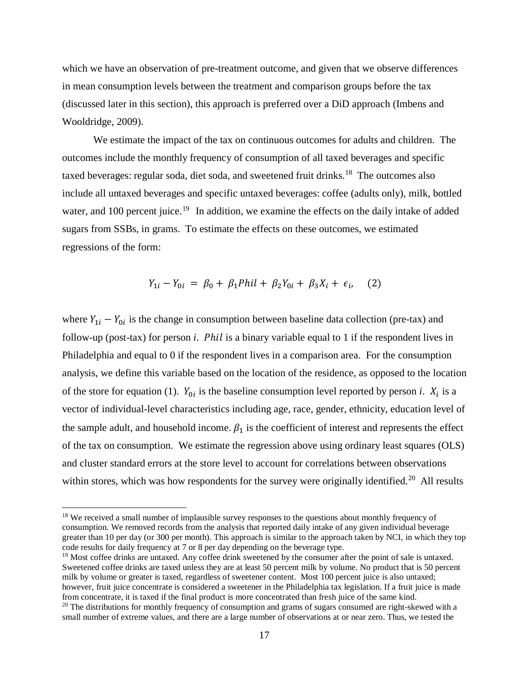which we have an observation of pre-treatment outcome, and given that we observe differences in mean consumption levels between the treatment and comparison groups before the tax (discussed later in this section), this approach is preferred over a DiD approach (Imbens and Wooldridge, 2009).

We estimate the impact of the tax on continuous outcomes for adults and children. The outcomes include the monthly frequency of consumption of all taxed beverages and specific taxed beverages: regular soda, diet soda, and sweetened fruit drinks.<sup>18</sup> The outcomes also include all untaxed beverages and specific untaxed beverages: coffee (adults only), milk, bottled water, and 100 percent juice.<sup>[19](#page-18-1)</sup> In addition, we examine the effects on the daily intake of added sugars from SSBs, in grams. To estimate the effects on these outcomes, we estimated regressions of the form:

$$
Y_{1i} - Y_{0i} = \beta_0 + \beta_1 Phil + \beta_2 Y_{0i} + \beta_3 X_i + \epsilon_i, \quad (2)
$$

where  $Y_{1i} - Y_{0i}$  is the change in consumption between baseline data collection (pre-tax) and follow-up (post-tax) for person *i*. *Phil* is a binary variable equal to 1 if the respondent lives in Philadelphia and equal to 0 if the respondent lives in a comparison area. For the consumption analysis, we define this variable based on the location of the residence, as opposed to the location of the store for equation (1).  $Y_{0i}$  is the baseline consumption level reported by person *i*.  $X_i$  is a vector of individual-level characteristics including age, race, gender, ethnicity, education level of the sample adult, and household income.  $\beta_1$  is the coefficient of interest and represents the effect of the tax on consumption. We estimate the regression above using ordinary least squares (OLS) and cluster standard errors at the store level to account for correlations between observations within stores, which was how respondents for the survey were originally identified.<sup>20</sup> All results

l

<span id="page-18-1"></span> $^{19}$  Most coffee drinks are untaxed. Any coffee drink sweetened by the consumer after the point of sale is untaxed. Sweetened coffee drinks are taxed unless they are at least 50 percent milk by volume. No product that is 50 percent milk by volume or greater is taxed, regardless of sweetener content. Most 100 percent juice is also untaxed; however, fruit juice concentrate is considered a sweetener in the Philadelphia tax legislation. If a fruit juice is made from concentrate, it is taxed if the final product is more concentrated than fresh juice of the same kind.

<span id="page-18-0"></span><sup>&</sup>lt;sup>18</sup> We received a small number of implausible survey responses to the questions about monthly frequency of consumption. We removed records from the analysis that reported daily intake of any given individual beverage greater than 10 per day (or 300 per month). This approach is similar to the approach taken by NCI, in which they top code results for daily frequency at 7 or 8 per day depending on the beverage type.

<span id="page-18-2"></span><sup>&</sup>lt;sup>20</sup> The distributions for monthly frequency of consumption and grams of sugars consumed are right-skewed with a small number of extreme values, and there are a large number of observations at or near zero. Thus, we tested the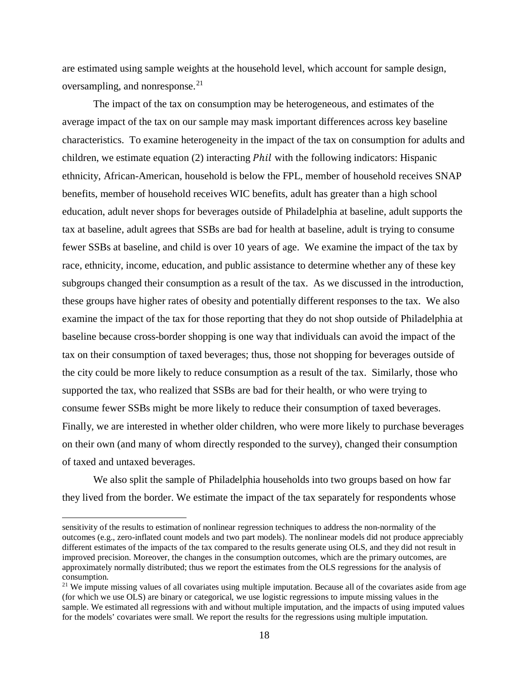are estimated using sample weights at the household level, which account for sample design, oversampling, and nonresponse.<sup>[21](#page-19-0)</sup>

The impact of the tax on consumption may be heterogeneous, and estimates of the average impact of the tax on our sample may mask important differences across key baseline characteristics. To examine heterogeneity in the impact of the tax on consumption for adults and children, we estimate equation (2) interacting *Phil* with the following indicators: Hispanic ethnicity, African-American, household is below the FPL, member of household receives SNAP benefits, member of household receives WIC benefits, adult has greater than a high school education, adult never shops for beverages outside of Philadelphia at baseline, adult supports the tax at baseline, adult agrees that SSBs are bad for health at baseline, adult is trying to consume fewer SSBs at baseline, and child is over 10 years of age. We examine the impact of the tax by race, ethnicity, income, education, and public assistance to determine whether any of these key subgroups changed their consumption as a result of the tax. As we discussed in the introduction, these groups have higher rates of obesity and potentially different responses to the tax. We also examine the impact of the tax for those reporting that they do not shop outside of Philadelphia at baseline because cross-border shopping is one way that individuals can avoid the impact of the tax on their consumption of taxed beverages; thus, those not shopping for beverages outside of the city could be more likely to reduce consumption as a result of the tax. Similarly, those who supported the tax, who realized that SSBs are bad for their health, or who were trying to consume fewer SSBs might be more likely to reduce their consumption of taxed beverages. Finally, we are interested in whether older children, who were more likely to purchase beverages on their own (and many of whom directly responded to the survey), changed their consumption of taxed and untaxed beverages.

We also split the sample of Philadelphia households into two groups based on how far they lived from the border. We estimate the impact of the tax separately for respondents whose

l

sensitivity of the results to estimation of nonlinear regression techniques to address the non-normality of the outcomes (e.g., zero-inflated count models and two part models). The nonlinear models did not produce appreciably different estimates of the impacts of the tax compared to the results generate using OLS, and they did not result in improved precision. Moreover, the changes in the consumption outcomes, which are the primary outcomes, are approximately normally distributed; thus we report the estimates from the OLS regressions for the analysis of consumption.<br><sup>21</sup> We impute missing values of all covariates using multiple imputation. Because all of the covariates aside from age

<span id="page-19-0"></span><sup>(</sup>for which we use OLS) are binary or categorical, we use logistic regressions to impute missing values in the sample. We estimated all regressions with and without multiple imputation, and the impacts of using imputed values for the models' covariates were small. We report the results for the regressions using multiple imputation.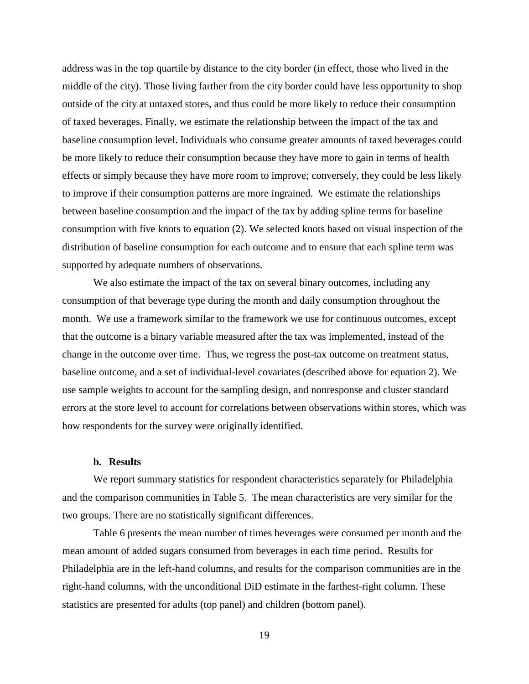address was in the top quartile by distance to the city border (in effect, those who lived in the middle of the city). Those living farther from the city border could have less opportunity to shop outside of the city at untaxed stores, and thus could be more likely to reduce their consumption of taxed beverages. Finally, we estimate the relationship between the impact of the tax and baseline consumption level. Individuals who consume greater amounts of taxed beverages could be more likely to reduce their consumption because they have more to gain in terms of health effects or simply because they have more room to improve; conversely, they could be less likely to improve if their consumption patterns are more ingrained. We estimate the relationships between baseline consumption and the impact of the tax by adding spline terms for baseline consumption with five knots to equation (2). We selected knots based on visual inspection of the distribution of baseline consumption for each outcome and to ensure that each spline term was supported by adequate numbers of observations.

We also estimate the impact of the tax on several binary outcomes, including any consumption of that beverage type during the month and daily consumption throughout the month. We use a framework similar to the framework we use for continuous outcomes, except that the outcome is a binary variable measured after the tax was implemented, instead of the change in the outcome over time. Thus, we regress the post-tax outcome on treatment status, baseline outcome, and a set of individual-level covariates (described above for equation 2). We use sample weights to account for the sampling design, and nonresponse and cluster standard errors at the store level to account for correlations between observations within stores, which was how respondents for the survey were originally identified.

# **b. Results**

We report summary statistics for respondent characteristics separately for Philadelphia and the comparison communities in Table 5. The mean characteristics are very similar for the two groups. There are no statistically significant differences.

Table 6 presents the mean number of times beverages were consumed per month and the mean amount of added sugars consumed from beverages in each time period. Results for Philadelphia are in the left-hand columns, and results for the comparison communities are in the right-hand columns, with the unconditional DiD estimate in the farthest-right column. These statistics are presented for adults (top panel) and children (bottom panel).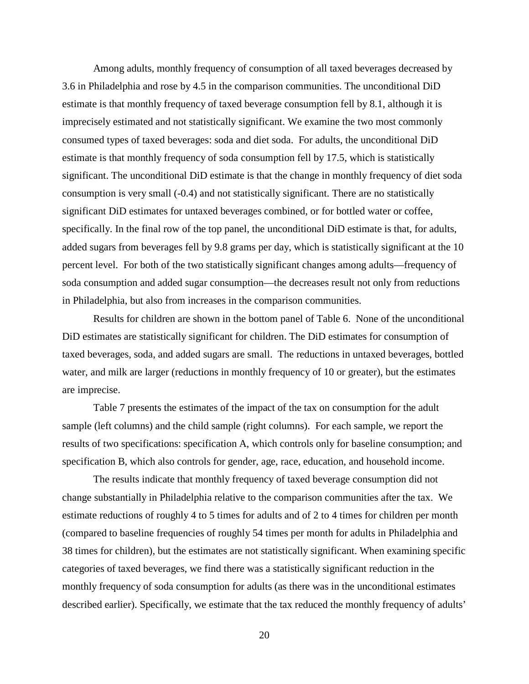Among adults, monthly frequency of consumption of all taxed beverages decreased by 3.6 in Philadelphia and rose by 4.5 in the comparison communities. The unconditional DiD estimate is that monthly frequency of taxed beverage consumption fell by 8.1, although it is imprecisely estimated and not statistically significant. We examine the two most commonly consumed types of taxed beverages: soda and diet soda. For adults, the unconditional DiD estimate is that monthly frequency of soda consumption fell by 17.5, which is statistically significant. The unconditional DiD estimate is that the change in monthly frequency of diet soda consumption is very small (-0.4) and not statistically significant. There are no statistically significant DiD estimates for untaxed beverages combined, or for bottled water or coffee, specifically. In the final row of the top panel, the unconditional DiD estimate is that, for adults, added sugars from beverages fell by 9.8 grams per day, which is statistically significant at the 10 percent level. For both of the two statistically significant changes among adults—frequency of soda consumption and added sugar consumption—the decreases result not only from reductions in Philadelphia, but also from increases in the comparison communities.

Results for children are shown in the bottom panel of Table 6. None of the unconditional DiD estimates are statistically significant for children. The DiD estimates for consumption of taxed beverages, soda, and added sugars are small. The reductions in untaxed beverages, bottled water, and milk are larger (reductions in monthly frequency of 10 or greater), but the estimates are imprecise.

Table 7 presents the estimates of the impact of the tax on consumption for the adult sample (left columns) and the child sample (right columns). For each sample, we report the results of two specifications: specification A, which controls only for baseline consumption; and specification B, which also controls for gender, age, race, education, and household income.

The results indicate that monthly frequency of taxed beverage consumption did not change substantially in Philadelphia relative to the comparison communities after the tax. We estimate reductions of roughly 4 to 5 times for adults and of 2 to 4 times for children per month (compared to baseline frequencies of roughly 54 times per month for adults in Philadelphia and 38 times for children), but the estimates are not statistically significant. When examining specific categories of taxed beverages, we find there was a statistically significant reduction in the monthly frequency of soda consumption for adults (as there was in the unconditional estimates described earlier). Specifically, we estimate that the tax reduced the monthly frequency of adults'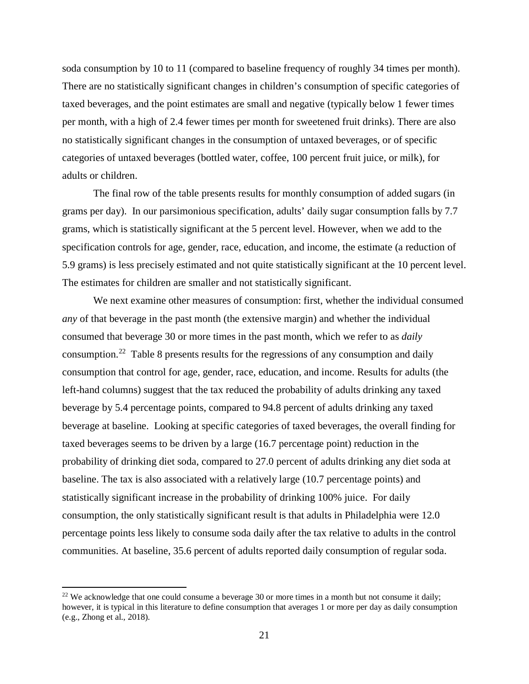soda consumption by 10 to 11 (compared to baseline frequency of roughly 34 times per month). There are no statistically significant changes in children's consumption of specific categories of taxed beverages, and the point estimates are small and negative (typically below 1 fewer times per month, with a high of 2.4 fewer times per month for sweetened fruit drinks). There are also no statistically significant changes in the consumption of untaxed beverages, or of specific categories of untaxed beverages (bottled water, coffee, 100 percent fruit juice, or milk), for adults or children.

The final row of the table presents results for monthly consumption of added sugars (in grams per day). In our parsimonious specification, adults' daily sugar consumption falls by 7.7 grams, which is statistically significant at the 5 percent level. However, when we add to the specification controls for age, gender, race, education, and income, the estimate (a reduction of 5.9 grams) is less precisely estimated and not quite statistically significant at the 10 percent level. The estimates for children are smaller and not statistically significant.

We next examine other measures of consumption: first, whether the individual consumed *any* of that beverage in the past month (the extensive margin) and whether the individual consumed that beverage 30 or more times in the past month, which we refer to as *daily* consumption.<sup>22</sup> Table 8 presents results for the regressions of any consumption and daily consumption that control for age, gender, race, education, and income. Results for adults (the left-hand columns) suggest that the tax reduced the probability of adults drinking any taxed beverage by 5.4 percentage points, compared to 94.8 percent of adults drinking any taxed beverage at baseline. Looking at specific categories of taxed beverages, the overall finding for taxed beverages seems to be driven by a large (16.7 percentage point) reduction in the probability of drinking diet soda, compared to 27.0 percent of adults drinking any diet soda at baseline. The tax is also associated with a relatively large (10.7 percentage points) and statistically significant increase in the probability of drinking 100% juice. For daily consumption, the only statistically significant result is that adults in Philadelphia were 12.0 percentage points less likely to consume soda daily after the tax relative to adults in the control communities. At baseline, 35.6 percent of adults reported daily consumption of regular soda.

 $\overline{a}$ 

<span id="page-22-0"></span> $22$  We acknowledge that one could consume a beverage 30 or more times in a month but not consume it daily; however, it is typical in this literature to define consumption that averages 1 or more per day as daily consumption (e.g., Zhong et al., 2018).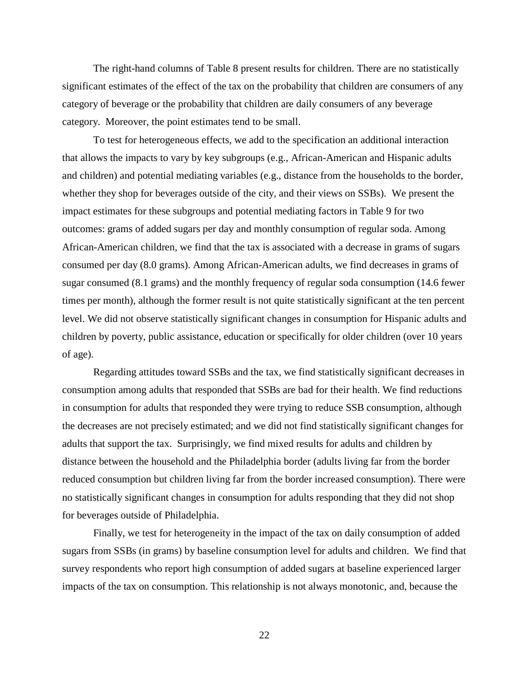The right-hand columns of Table 8 present results for children. There are no statistically significant estimates of the effect of the tax on the probability that children are consumers of any category of beverage or the probability that children are daily consumers of any beverage category. Moreover, the point estimates tend to be small.

To test for heterogeneous effects, we add to the specification an additional interaction that allows the impacts to vary by key subgroups (e.g., African-American and Hispanic adults and children) and potential mediating variables (e.g., distance from the households to the border, whether they shop for beverages outside of the city, and their views on SSBs). We present the impact estimates for these subgroups and potential mediating factors in Table 9 for two outcomes: grams of added sugars per day and monthly consumption of regular soda. Among African-American children, we find that the tax is associated with a decrease in grams of sugars consumed per day (8.0 grams). Among African-American adults, we find decreases in grams of sugar consumed (8.1 grams) and the monthly frequency of regular soda consumption (14.6 fewer times per month), although the former result is not quite statistically significant at the ten percent level. We did not observe statistically significant changes in consumption for Hispanic adults and children by poverty, public assistance, education or specifically for older children (over 10 years of age).

Regarding attitudes toward SSBs and the tax, we find statistically significant decreases in consumption among adults that responded that SSBs are bad for their health. We find reductions in consumption for adults that responded they were trying to reduce SSB consumption, although the decreases are not precisely estimated; and we did not find statistically significant changes for adults that support the tax. Surprisingly, we find mixed results for adults and children by distance between the household and the Philadelphia border (adults living far from the border reduced consumption but children living far from the border increased consumption). There were no statistically significant changes in consumption for adults responding that they did not shop for beverages outside of Philadelphia.

Finally, we test for heterogeneity in the impact of the tax on daily consumption of added sugars from SSBs (in grams) by baseline consumption level for adults and children. We find that survey respondents who report high consumption of added sugars at baseline experienced larger impacts of the tax on consumption. This relationship is not always monotonic, and, because the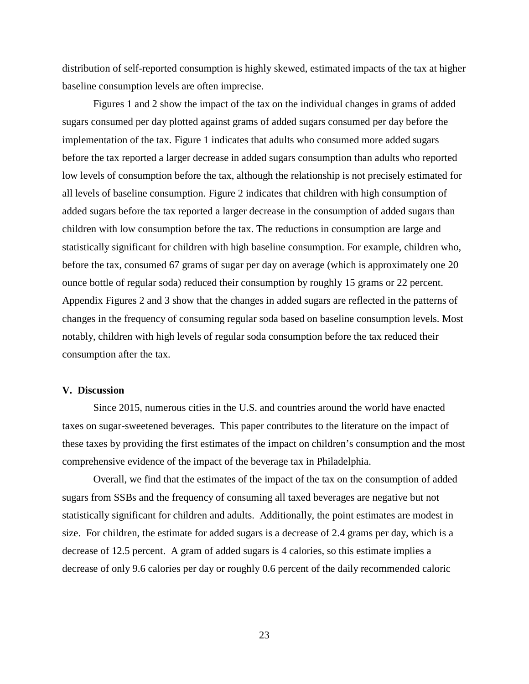distribution of self-reported consumption is highly skewed, estimated impacts of the tax at higher baseline consumption levels are often imprecise.

Figures 1 and 2 show the impact of the tax on the individual changes in grams of added sugars consumed per day plotted against grams of added sugars consumed per day before the implementation of the tax. Figure 1 indicates that adults who consumed more added sugars before the tax reported a larger decrease in added sugars consumption than adults who reported low levels of consumption before the tax, although the relationship is not precisely estimated for all levels of baseline consumption. Figure 2 indicates that children with high consumption of added sugars before the tax reported a larger decrease in the consumption of added sugars than children with low consumption before the tax. The reductions in consumption are large and statistically significant for children with high baseline consumption. For example, children who, before the tax, consumed 67 grams of sugar per day on average (which is approximately one 20 ounce bottle of regular soda) reduced their consumption by roughly 15 grams or 22 percent. Appendix Figures 2 and 3 show that the changes in added sugars are reflected in the patterns of changes in the frequency of consuming regular soda based on baseline consumption levels. Most notably, children with high levels of regular soda consumption before the tax reduced their consumption after the tax.

# **V. Discussion**

Since 2015, numerous cities in the U.S. and countries around the world have enacted taxes on sugar-sweetened beverages. This paper contributes to the literature on the impact of these taxes by providing the first estimates of the impact on children's consumption and the most comprehensive evidence of the impact of the beverage tax in Philadelphia.

Overall, we find that the estimates of the impact of the tax on the consumption of added sugars from SSBs and the frequency of consuming all taxed beverages are negative but not statistically significant for children and adults. Additionally, the point estimates are modest in size. For children, the estimate for added sugars is a decrease of 2.4 grams per day, which is a decrease of 12.5 percent. A gram of added sugars is 4 calories, so this estimate implies a decrease of only 9.6 calories per day or roughly 0.6 percent of the daily recommended caloric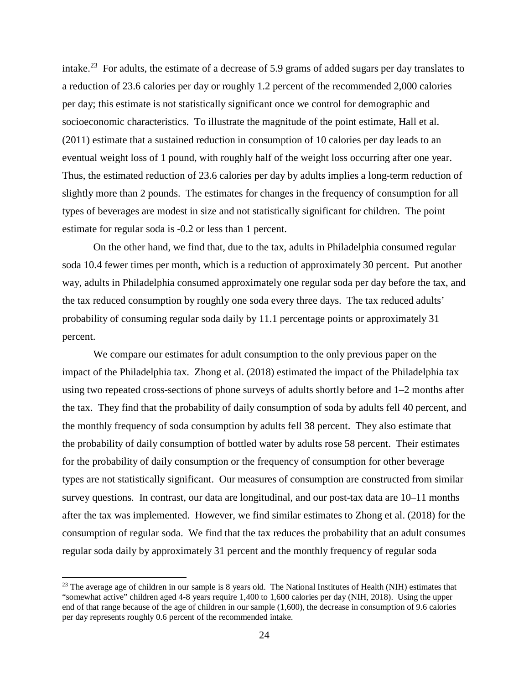intake.<sup>23</sup> For adults, the estimate of a decrease of 5.9 grams of added sugars per day translates to a reduction of 23.6 calories per day or roughly 1.2 percent of the recommended 2,000 calories per day; this estimate is not statistically significant once we control for demographic and socioeconomic characteristics. To illustrate the magnitude of the point estimate, Hall et al. (2011) estimate that a sustained reduction in consumption of 10 calories per day leads to an eventual weight loss of 1 pound, with roughly half of the weight loss occurring after one year. Thus, the estimated reduction of 23.6 calories per day by adults implies a long-term reduction of slightly more than 2 pounds. The estimates for changes in the frequency of consumption for all types of beverages are modest in size and not statistically significant for children. The point estimate for regular soda is -0.2 or less than 1 percent.

On the other hand, we find that, due to the tax, adults in Philadelphia consumed regular soda 10.4 fewer times per month, which is a reduction of approximately 30 percent. Put another way, adults in Philadelphia consumed approximately one regular soda per day before the tax, and the tax reduced consumption by roughly one soda every three days. The tax reduced adults' probability of consuming regular soda daily by 11.1 percentage points or approximately 31 percent.

We compare our estimates for adult consumption to the only previous paper on the impact of the Philadelphia tax. Zhong et al. (2018) estimated the impact of the Philadelphia tax using two repeated cross-sections of phone surveys of adults shortly before and 1–2 months after the tax. They find that the probability of daily consumption of soda by adults fell 40 percent, and the monthly frequency of soda consumption by adults fell 38 percent. They also estimate that the probability of daily consumption of bottled water by adults rose 58 percent. Their estimates for the probability of daily consumption or the frequency of consumption for other beverage types are not statistically significant. Our measures of consumption are constructed from similar survey questions. In contrast, our data are longitudinal, and our post-tax data are 10–11 months after the tax was implemented. However, we find similar estimates to Zhong et al. (2018) for the consumption of regular soda. We find that the tax reduces the probability that an adult consumes regular soda daily by approximately 31 percent and the monthly frequency of regular soda

l

<span id="page-25-0"></span><sup>&</sup>lt;sup>23</sup> The average age of children in our sample is 8 years old. The National Institutes of Health (NIH) estimates that "somewhat active" children aged 4-8 years require 1,400 to 1,600 calories per day (NIH, 2018). Using the upper end of that range because of the age of children in our sample (1,600), the decrease in consumption of 9.6 calories per day represents roughly 0.6 percent of the recommended intake.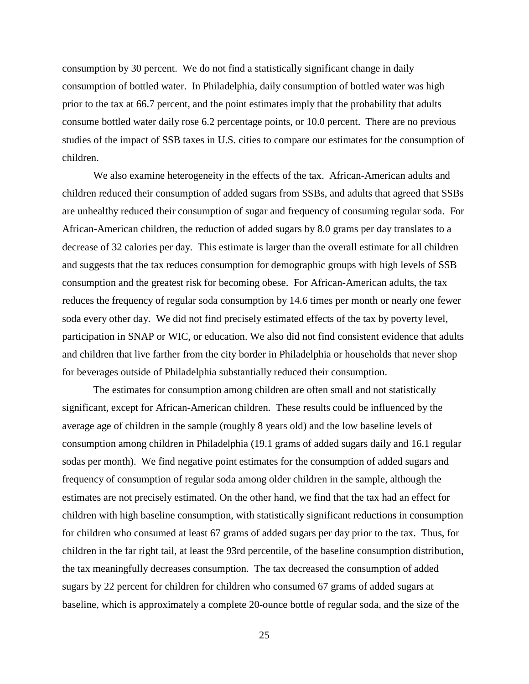consumption by 30 percent. We do not find a statistically significant change in daily consumption of bottled water. In Philadelphia, daily consumption of bottled water was high prior to the tax at 66.7 percent, and the point estimates imply that the probability that adults consume bottled water daily rose 6.2 percentage points, or 10.0 percent. There are no previous studies of the impact of SSB taxes in U.S. cities to compare our estimates for the consumption of children.

We also examine heterogeneity in the effects of the tax. African-American adults and children reduced their consumption of added sugars from SSBs, and adults that agreed that SSBs are unhealthy reduced their consumption of sugar and frequency of consuming regular soda. For African-American children, the reduction of added sugars by 8.0 grams per day translates to a decrease of 32 calories per day. This estimate is larger than the overall estimate for all children and suggests that the tax reduces consumption for demographic groups with high levels of SSB consumption and the greatest risk for becoming obese. For African-American adults, the tax reduces the frequency of regular soda consumption by 14.6 times per month or nearly one fewer soda every other day. We did not find precisely estimated effects of the tax by poverty level, participation in SNAP or WIC, or education. We also did not find consistent evidence that adults and children that live farther from the city border in Philadelphia or households that never shop for beverages outside of Philadelphia substantially reduced their consumption.

The estimates for consumption among children are often small and not statistically significant, except for African-American children. These results could be influenced by the average age of children in the sample (roughly 8 years old) and the low baseline levels of consumption among children in Philadelphia (19.1 grams of added sugars daily and 16.1 regular sodas per month). We find negative point estimates for the consumption of added sugars and frequency of consumption of regular soda among older children in the sample, although the estimates are not precisely estimated. On the other hand, we find that the tax had an effect for children with high baseline consumption, with statistically significant reductions in consumption for children who consumed at least 67 grams of added sugars per day prior to the tax. Thus, for children in the far right tail, at least the 93rd percentile, of the baseline consumption distribution, the tax meaningfully decreases consumption. The tax decreased the consumption of added sugars by 22 percent for children for children who consumed 67 grams of added sugars at baseline, which is approximately a complete 20-ounce bottle of regular soda, and the size of the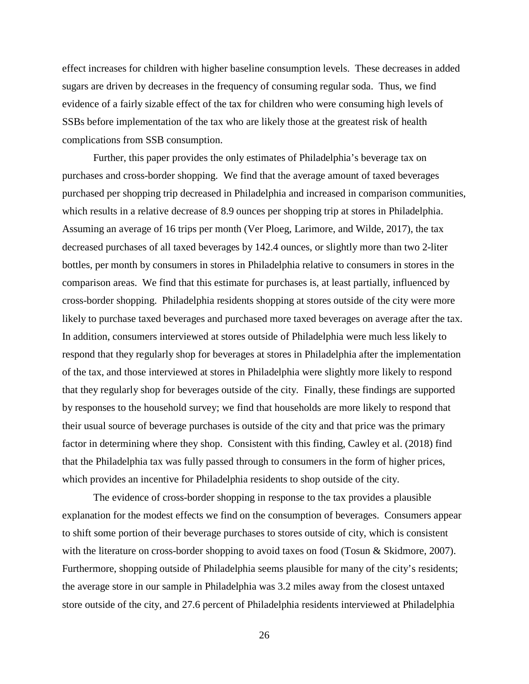effect increases for children with higher baseline consumption levels. These decreases in added sugars are driven by decreases in the frequency of consuming regular soda. Thus, we find evidence of a fairly sizable effect of the tax for children who were consuming high levels of SSBs before implementation of the tax who are likely those at the greatest risk of health complications from SSB consumption.

Further, this paper provides the only estimates of Philadelphia's beverage tax on purchases and cross-border shopping. We find that the average amount of taxed beverages purchased per shopping trip decreased in Philadelphia and increased in comparison communities, which results in a relative decrease of 8.9 ounces per shopping trip at stores in Philadelphia. Assuming an average of 16 trips per month (Ver Ploeg, Larimore, and Wilde, 2017), the tax decreased purchases of all taxed beverages by 142.4 ounces, or slightly more than two 2-liter bottles, per month by consumers in stores in Philadelphia relative to consumers in stores in the comparison areas. We find that this estimate for purchases is, at least partially, influenced by cross-border shopping. Philadelphia residents shopping at stores outside of the city were more likely to purchase taxed beverages and purchased more taxed beverages on average after the tax. In addition, consumers interviewed at stores outside of Philadelphia were much less likely to respond that they regularly shop for beverages at stores in Philadelphia after the implementation of the tax, and those interviewed at stores in Philadelphia were slightly more likely to respond that they regularly shop for beverages outside of the city. Finally, these findings are supported by responses to the household survey; we find that households are more likely to respond that their usual source of beverage purchases is outside of the city and that price was the primary factor in determining where they shop. Consistent with this finding, Cawley et al. (2018) find that the Philadelphia tax was fully passed through to consumers in the form of higher prices, which provides an incentive for Philadelphia residents to shop outside of the city.

The evidence of cross-border shopping in response to the tax provides a plausible explanation for the modest effects we find on the consumption of beverages. Consumers appear to shift some portion of their beverage purchases to stores outside of city, which is consistent with the literature on cross-border shopping to avoid taxes on food (Tosun & Skidmore, 2007). Furthermore, shopping outside of Philadelphia seems plausible for many of the city's residents; the average store in our sample in Philadelphia was 3.2 miles away from the closest untaxed store outside of the city, and 27.6 percent of Philadelphia residents interviewed at Philadelphia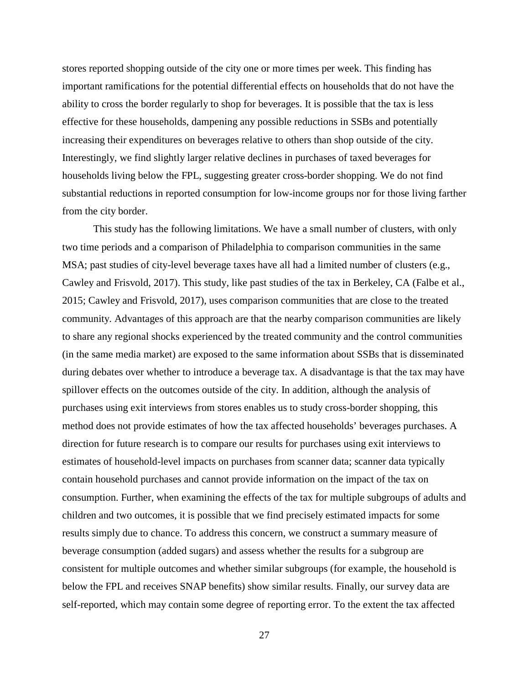stores reported shopping outside of the city one or more times per week. This finding has important ramifications for the potential differential effects on households that do not have the ability to cross the border regularly to shop for beverages. It is possible that the tax is less effective for these households, dampening any possible reductions in SSBs and potentially increasing their expenditures on beverages relative to others than shop outside of the city. Interestingly, we find slightly larger relative declines in purchases of taxed beverages for households living below the FPL, suggesting greater cross-border shopping. We do not find substantial reductions in reported consumption for low-income groups nor for those living farther from the city border.

This study has the following limitations. We have a small number of clusters, with only two time periods and a comparison of Philadelphia to comparison communities in the same MSA; past studies of city-level beverage taxes have all had a limited number of clusters (e.g., Cawley and Frisvold, 2017). This study, like past studies of the tax in Berkeley, CA (Falbe et al., 2015; Cawley and Frisvold, 2017), uses comparison communities that are close to the treated community. Advantages of this approach are that the nearby comparison communities are likely to share any regional shocks experienced by the treated community and the control communities (in the same media market) are exposed to the same information about SSBs that is disseminated during debates over whether to introduce a beverage tax. A disadvantage is that the tax may have spillover effects on the outcomes outside of the city. In addition, although the analysis of purchases using exit interviews from stores enables us to study cross-border shopping, this method does not provide estimates of how the tax affected households' beverages purchases. A direction for future research is to compare our results for purchases using exit interviews to estimates of household-level impacts on purchases from scanner data; scanner data typically contain household purchases and cannot provide information on the impact of the tax on consumption. Further, when examining the effects of the tax for multiple subgroups of adults and children and two outcomes, it is possible that we find precisely estimated impacts for some results simply due to chance. To address this concern, we construct a summary measure of beverage consumption (added sugars) and assess whether the results for a subgroup are consistent for multiple outcomes and whether similar subgroups (for example, the household is below the FPL and receives SNAP benefits) show similar results. Finally, our survey data are self-reported, which may contain some degree of reporting error. To the extent the tax affected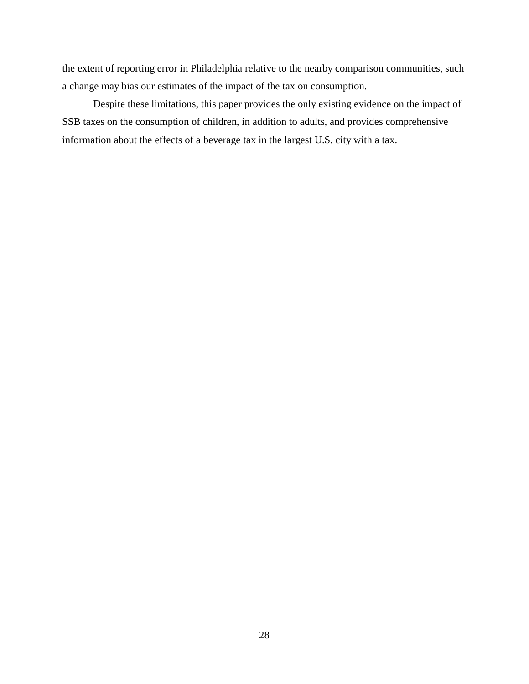the extent of reporting error in Philadelphia relative to the nearby comparison communities, such a change may bias our estimates of the impact of the tax on consumption.

Despite these limitations, this paper provides the only existing evidence on the impact of SSB taxes on the consumption of children, in addition to adults, and provides comprehensive information about the effects of a beverage tax in the largest U.S. city with a tax.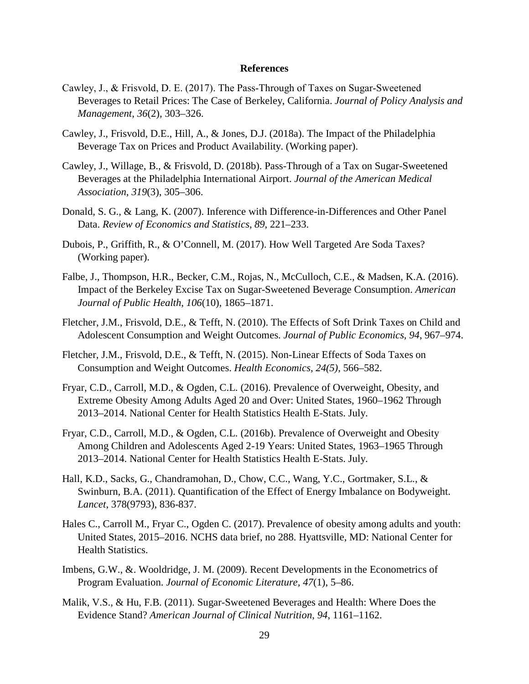#### **References**

- Cawley, J., & Frisvold, D. E. (2017). The Pass‐Through of Taxes on Sugar‐Sweetened Beverages to Retail Prices: The Case of Berkeley, California. *Journal of Policy Analysis and Management*, *36*(2), 303–326.
- Cawley, J., Frisvold, D.E., Hill, A., & Jones, D.J. (2018a). The Impact of the Philadelphia Beverage Tax on Prices and Product Availability. (Working paper).
- Cawley, J., Willage, B., & Frisvold, D. (2018b). Pass-Through of a Tax on Sugar-Sweetened Beverages at the Philadelphia International Airport. *Journal of the American Medical Association*, *319*(3), 305–306.
- Donald, S. G., & Lang, K. (2007). Inference with Difference-in-Differences and Other Panel Data. *Review of Economics and Statistics*, *89*, 221–233.
- Dubois, P., Griffith, R., & O'Connell, M. (2017). How Well Targeted Are Soda Taxes? (Working paper).
- Falbe, J., Thompson, H.R., Becker, C.M., Rojas, N., McCulloch, C.E., & Madsen, K.A. (2016). Impact of the Berkeley Excise Tax on Sugar-Sweetened Beverage Consumption. *American Journal of Public Health*, *106*(10), 1865–1871.
- Fletcher, J.M., Frisvold, D.E., & Tefft, N. (2010). The Effects of Soft Drink Taxes on Child and Adolescent Consumption and Weight Outcomes. *Journal of Public Economics, 94*, 967–974.
- Fletcher, J.M., Frisvold, D.E., & Tefft, N. (2015). Non-Linear Effects of Soda Taxes on Consumption and Weight Outcomes. *Health Economics, 24(5)*, 566–582.
- Fryar, C.D., Carroll, M.D., & Ogden, C.L. (2016). Prevalence of Overweight, Obesity, and Extreme Obesity Among Adults Aged 20 and Over: United States, 1960–1962 Through 2013–2014. National Center for Health Statistics Health E-Stats. July.
- Fryar, C.D., Carroll, M.D., & Ogden, C.L. (2016b). Prevalence of Overweight and Obesity Among Children and Adolescents Aged 2-19 Years: United States, 1963–1965 Through 2013–2014. National Center for Health Statistics Health E-Stats. July.
- Hall, K.D., Sacks, G., Chandramohan, D., Chow, C.C., Wang, Y.C., Gortmaker, S.L., & Swinburn, B.A. (2011). Quantification of the Effect of Energy Imbalance on Bodyweight. *Lancet*, 378(9793), 836-837.
- Hales C., Carroll M., Fryar C., Ogden C. (2017). Prevalence of obesity among adults and youth: United States, 2015–2016. NCHS data brief, no 288. Hyattsville, MD: National Center for Health Statistics.
- Imbens, G.W., &. Wooldridge, J. M. (2009). Recent Developments in the Econometrics of Program Evaluation. *Journal of Economic Literature, 47*(1), 5–86.
- Malik, V.S., & Hu, F.B. (2011). Sugar-Sweetened Beverages and Health: Where Does the Evidence Stand? *American Journal of Clinical Nutrition*, *94*, 1161–1162.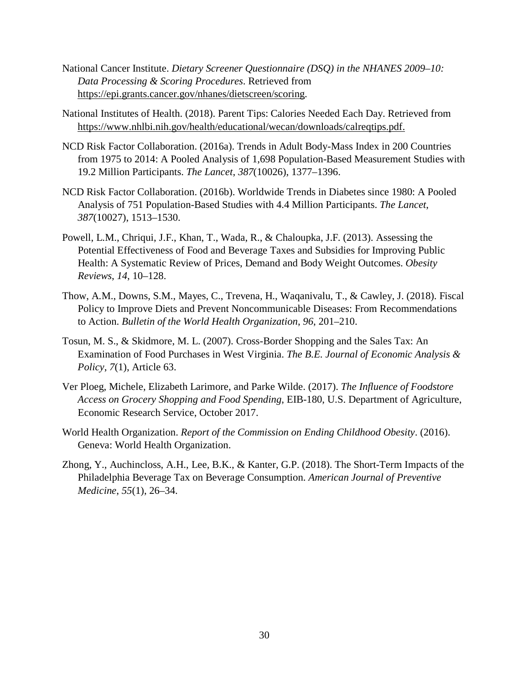- National Cancer Institute. *Dietary Screener Questionnaire (DSQ) in the NHANES 2009–10: Data Processing & Scoring Procedures*. Retrieved from [https://epi.grants.cancer.gov/nhanes/dietscreen/scoring.](https://epi.grants.cancer.gov/nhanes/dietscreen/scoring)
- National Institutes of Health. (2018). Parent Tips: Calories Needed Each Day. Retrieved from [https://www.nhlbi.nih.gov/health/educational/wecan/downloads/calreqtips.pdf.](https://www.nhlbi.nih.gov/health/educational/wecan/downloads/calreqtips.pdf)
- NCD Risk Factor Collaboration. (2016a). Trends in Adult Body-Mass Index in 200 Countries from 1975 to 2014: A Pooled Analysis of 1,698 Population-Based Measurement Studies with 19.2 Million Participants. *The Lancet*, *387*(10026), 1377–1396.
- NCD Risk Factor Collaboration. (2016b). Worldwide Trends in Diabetes since 1980: A Pooled Analysis of 751 Population-Based Studies with 4.4 Million Participants. *The Lancet*, *387*(10027), 1513–1530.
- Powell, L.M., Chriqui, J.F., Khan, T., Wada, R., & Chaloupka, J.F. (2013). Assessing the Potential Effectiveness of Food and Beverage Taxes and Subsidies for Improving Public Health: A Systematic Review of Prices, Demand and Body Weight Outcomes. *Obesity Reviews*, *14*, 10–128.
- Thow, A.M., Downs, S.M., Mayes, C., Trevena, H., Waqanivalu, T., & Cawley, J. (2018). Fiscal Policy to Improve Diets and Prevent Noncommunicable Diseases: From Recommendations to Action. *Bulletin of the World Health Organization*, *96*, 201–210.
- Tosun, M. S., & Skidmore, M. L. (2007). Cross-Border Shopping and the Sales Tax: An Examination of Food Purchases in West Virginia. *The B.E. Journal of Economic Analysis & Policy*, *7*(1), Article 63.
- Ver Ploeg, Michele, Elizabeth Larimore, and Parke Wilde. (2017). *The Influence of Foodstore Access on Grocery Shopping and Food Spending*, EIB-180, U.S. Department of Agriculture, Economic Research Service, October 2017.
- World Health Organization. *Report of the Commission on Ending Childhood Obesity*. (2016). Geneva: World Health Organization.
- Zhong, Y., Auchincloss, A.H., Lee, B.K., & Kanter, G.P. (2018). The Short-Term Impacts of the Philadelphia Beverage Tax on Beverage Consumption. *American Journal of Preventive Medicine*, *55*(1), 26–34.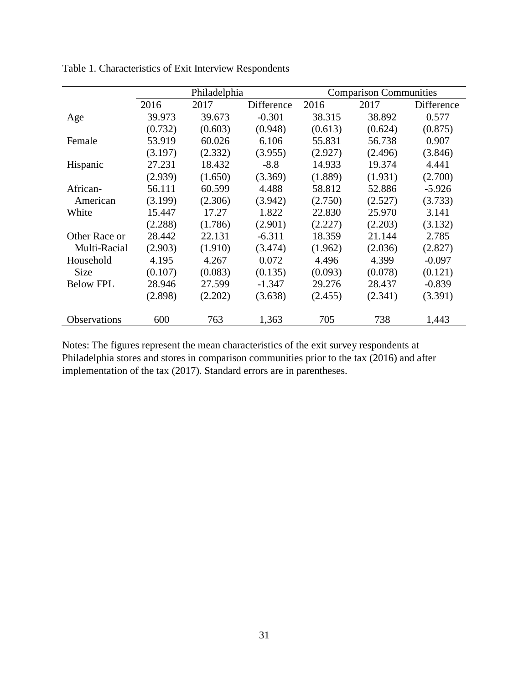|                     | Philadelphia |         |            | <b>Comparison Communities</b> |         |            |  |
|---------------------|--------------|---------|------------|-------------------------------|---------|------------|--|
|                     | 2016         | 2017    | Difference | 2016                          | 2017    | Difference |  |
| Age                 | 39.973       | 39.673  | $-0.301$   | 38.315                        | 38.892  | 0.577      |  |
|                     | (0.732)      | (0.603) | (0.948)    | (0.613)                       | (0.624) | (0.875)    |  |
| Female              | 53.919       | 60.026  | 6.106      | 55.831                        | 56.738  | 0.907      |  |
|                     | (3.197)      | (2.332) | (3.955)    | (2.927)                       | (2.496) | (3.846)    |  |
| Hispanic            | 27.231       | 18.432  | $-8.8$     | 14.933                        | 19.374  | 4.441      |  |
|                     | (2.939)      | (1.650) | (3.369)    | (1.889)                       | (1.931) | (2.700)    |  |
| African-            | 56.111       | 60.599  | 4.488      | 58.812                        | 52.886  | $-5.926$   |  |
| American            | (3.199)      | (2.306) | (3.942)    | (2.750)                       | (2.527) | (3.733)    |  |
| White               | 15.447       | 17.27   | 1.822      | 22.830                        | 25.970  | 3.141      |  |
|                     | (2.288)      | (1.786) | (2.901)    | (2.227)                       | (2.203) | (3.132)    |  |
| Other Race or       | 28.442       | 22.131  | $-6.311$   | 18.359                        | 21.144  | 2.785      |  |
| Multi-Racial        | (2.903)      | (1.910) | (3.474)    | (1.962)                       | (2.036) | (2.827)    |  |
| Household           | 4.195        | 4.267   | 0.072      | 4.496                         | 4.399   | $-0.097$   |  |
| <b>Size</b>         | (0.107)      | (0.083) | (0.135)    | (0.093)                       | (0.078) | (0.121)    |  |
| <b>Below FPL</b>    | 28.946       | 27.599  | $-1.347$   | 29.276                        | 28.437  | $-0.839$   |  |
|                     | (2.898)      | (2.202) | (3.638)    | (2.455)                       | (2.341) | (3.391)    |  |
| <b>Observations</b> | 600          | 763     | 1,363      | 705                           | 738     | 1,443      |  |

Table 1. Characteristics of Exit Interview Respondents

Notes: The figures represent the mean characteristics of the exit survey respondents at Philadelphia stores and stores in comparison communities prior to the tax (2016) and after implementation of the tax (2017). Standard errors are in parentheses.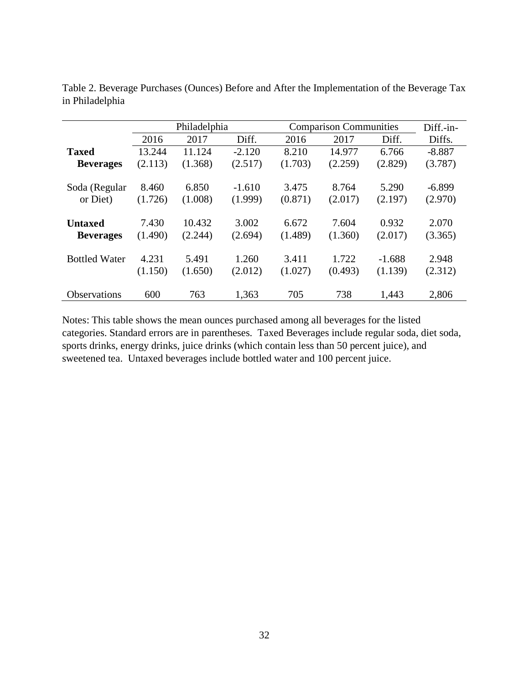|                      |         | Philadelphia |          |         | <b>Comparison Communities</b> |          |          |  |
|----------------------|---------|--------------|----------|---------|-------------------------------|----------|----------|--|
|                      | 2016    | 2017         | Diff.    | 2016    | 2017                          | Diff.    | Diffs.   |  |
| <b>Taxed</b>         | 13.244  | 11.124       | $-2.120$ | 8.210   | 14.977                        | 6.766    | $-8.887$ |  |
| <b>Beverages</b>     | (2.113) | (1.368)      | (2.517)  | (1.703) | (2.259)                       | (2.829)  | (3.787)  |  |
|                      |         |              |          |         |                               |          |          |  |
| Soda (Regular        | 8.460   | 6.850        | $-1.610$ | 3.475   | 8.764                         | 5.290    | $-6.899$ |  |
| or Diet)             | (1.726) | (1.008)      | (1.999)  | (0.871) | (2.017)                       | (2.197)  | (2.970)  |  |
|                      |         |              |          |         |                               |          |          |  |
| <b>Untaxed</b>       | 7.430   | 10.432       | 3.002    | 6.672   | 7.604                         | 0.932    | 2.070    |  |
| <b>Beverages</b>     | (1.490) | (2.244)      | (2.694)  | (1.489) | (1.360)                       | (2.017)  | (3.365)  |  |
|                      |         |              |          |         |                               |          |          |  |
| <b>Bottled Water</b> | 4.231   | 5.491        | 1.260    | 3.411   | 1.722                         | $-1.688$ | 2.948    |  |
|                      | (1.150) | (1.650)      | (2.012)  | (1.027) | (0.493)                       | (1.139)  | (2.312)  |  |
|                      |         |              |          |         |                               |          |          |  |
| Observations         | 600     | 763          | 1,363    | 705     | 738                           | 1,443    | 2,806    |  |

Table 2. Beverage Purchases (Ounces) Before and After the Implementation of the Beverage Tax in Philadelphia

Notes: This table shows the mean ounces purchased among all beverages for the listed categories. Standard errors are in parentheses. Taxed Beverages include regular soda, diet soda, sports drinks, energy drinks, juice drinks (which contain less than 50 percent juice), and sweetened tea. Untaxed beverages include bottled water and 100 percent juice.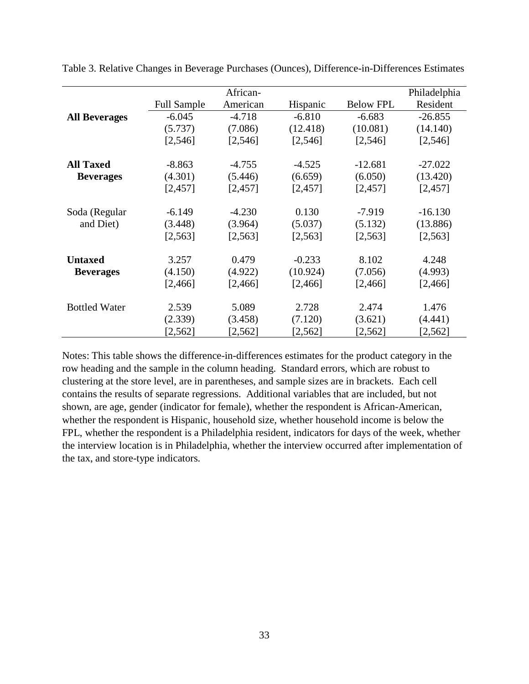|                      |                    | African- |          |                  | Philadelphia |
|----------------------|--------------------|----------|----------|------------------|--------------|
|                      | <b>Full Sample</b> | American | Hispanic | <b>Below FPL</b> | Resident     |
| <b>All Beverages</b> | $-6.045$           | $-4.718$ | $-6.810$ | $-6.683$         | $-26.855$    |
|                      | (5.737)            | (7.086)  | (12.418) | (10.081)         | (14.140)     |
|                      | [2, 546]           | [2, 546] | [2, 546] | [2, 546]         | [2, 546]     |
| <b>All Taxed</b>     | $-8.863$           | $-4.755$ | $-4.525$ | $-12.681$        | $-27.022$    |
| <b>Beverages</b>     | (4.301)            | (5.446)  | (6.659)  | (6.050)          | (13.420)     |
|                      | [2,457]            | [2,457]  | [2,457]  | [2,457]          | [2,457]      |
| Soda (Regular        | $-6.149$           | $-4.230$ | 0.130    | $-7.919$         | $-16.130$    |
| and Diet)            | (3.448)            | (3.964)  | (5.037)  | (5.132)          | (13.886)     |
|                      | [2,563]            | [2, 563] | [2, 563] | [2,563]          | [2, 563]     |
| <b>Untaxed</b>       | 3.257              | 0.479    | $-0.233$ | 8.102            | 4.248        |
| <b>Beverages</b>     | (4.150)            | (4.922)  | (10.924) | (7.056)          | (4.993)      |
|                      | [2,466]            | [2,466]  | [2, 466] | [2, 466]         | [2, 466]     |
| <b>Bottled Water</b> | 2.539              | 5.089    | 2.728    | 2.474            | 1.476        |
|                      | (2.339)            | (3.458)  | (7.120)  | (3.621)          | (4.441)      |
|                      | [2,562]            | [2,562]  | [2,562]  | [2, 562]         | [2, 562]     |

Table 3. Relative Changes in Beverage Purchases (Ounces), Difference-in-Differences Estimates

Notes: This table shows the difference-in-differences estimates for the product category in the row heading and the sample in the column heading. Standard errors, which are robust to clustering at the store level, are in parentheses, and sample sizes are in brackets. Each cell contains the results of separate regressions. Additional variables that are included, but not shown, are age, gender (indicator for female), whether the respondent is African-American, whether the respondent is Hispanic, household size, whether household income is below the FPL, whether the respondent is a Philadelphia resident, indicators for days of the week, whether the interview location is in Philadelphia, whether the interview occurred after implementation of the tax, and store-type indicators.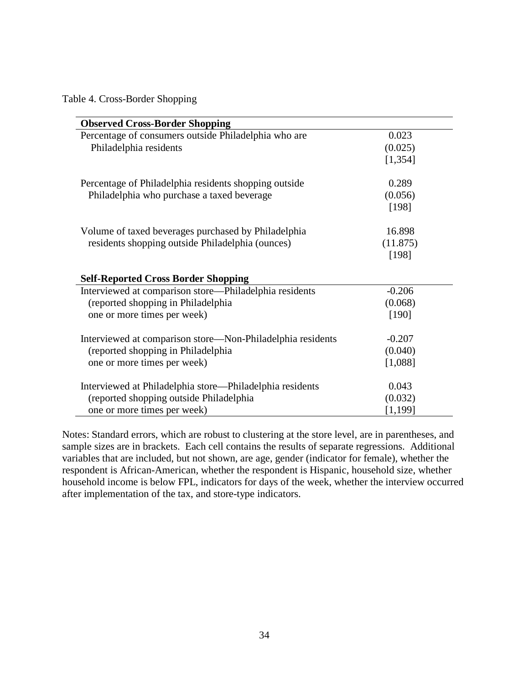Table 4. Cross-Border Shopping

| <b>Observed Cross-Border Shopping</b>                      |          |
|------------------------------------------------------------|----------|
| Percentage of consumers outside Philadelphia who are       | 0.023    |
| Philadelphia residents                                     | (0.025)  |
|                                                            | [1, 354] |
| Percentage of Philadelphia residents shopping outside      | 0.289    |
| Philadelphia who purchase a taxed beverage                 | (0.056)  |
|                                                            | [198]    |
| Volume of taxed beverages purchased by Philadelphia        | 16.898   |
| residents shopping outside Philadelphia (ounces)           | (11.875) |
|                                                            | [198]    |
| <b>Self-Reported Cross Border Shopping</b>                 |          |
| Interviewed at comparison store—Philadelphia residents     | $-0.206$ |
| (reported shopping in Philadelphia                         | (0.068)  |
| one or more times per week)                                | [190]    |
| Interviewed at comparison store—Non-Philadelphia residents | $-0.207$ |
| (reported shopping in Philadelphia                         | (0.040)  |
| one or more times per week)                                | [1,088]  |
| Interviewed at Philadelphia store—Philadelphia residents   | 0.043    |
| (reported shopping outside Philadelphia                    | (0.032)  |
| one or more times per week)                                | [1,199]  |

Notes: Standard errors, which are robust to clustering at the store level, are in parentheses, and sample sizes are in brackets. Each cell contains the results of separate regressions. Additional variables that are included, but not shown, are age, gender (indicator for female), whether the respondent is African-American, whether the respondent is Hispanic, household size, whether household income is below FPL, indicators for days of the week, whether the interview occurred after implementation of the tax, and store-type indicators.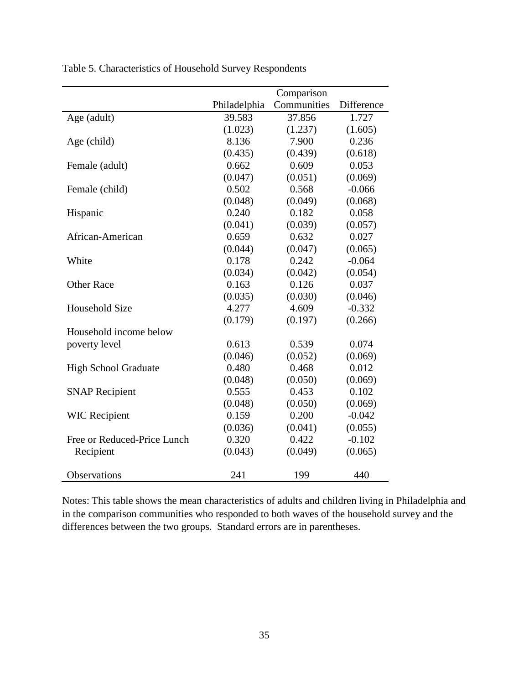|                             | Comparison   |             |            |  |  |
|-----------------------------|--------------|-------------|------------|--|--|
|                             | Philadelphia | Communities | Difference |  |  |
| Age (adult)                 | 39.583       | 37.856      | 1.727      |  |  |
|                             | (1.023)      | (1.237)     | (1.605)    |  |  |
| Age (child)                 | 8.136        | 7.900       | 0.236      |  |  |
|                             | (0.435)      | (0.439)     | (0.618)    |  |  |
| Female (adult)              | 0.662        | 0.609       | 0.053      |  |  |
|                             | (0.047)      | (0.051)     | (0.069)    |  |  |
| Female (child)              | 0.502        | 0.568       | $-0.066$   |  |  |
|                             | (0.048)      | (0.049)     | (0.068)    |  |  |
| Hispanic                    | 0.240        | 0.182       | 0.058      |  |  |
|                             | (0.041)      | (0.039)     | (0.057)    |  |  |
| African-American            | 0.659        | 0.632       | 0.027      |  |  |
|                             | (0.044)      | (0.047)     | (0.065)    |  |  |
| White                       | 0.178        | 0.242       | $-0.064$   |  |  |
|                             | (0.034)      | (0.042)     | (0.054)    |  |  |
| <b>Other Race</b>           | 0.163        | 0.126       | 0.037      |  |  |
|                             | (0.035)      | (0.030)     | (0.046)    |  |  |
| Household Size              | 4.277        | 4.609       | $-0.332$   |  |  |
|                             | (0.179)      | (0.197)     | (0.266)    |  |  |
| Household income below      |              |             |            |  |  |
| poverty level               | 0.613        | 0.539       | 0.074      |  |  |
|                             | (0.046)      | (0.052)     | (0.069)    |  |  |
| <b>High School Graduate</b> | 0.480        | 0.468       | 0.012      |  |  |
|                             | (0.048)      | (0.050)     | (0.069)    |  |  |
| <b>SNAP Recipient</b>       | 0.555        | 0.453       | 0.102      |  |  |
|                             | (0.048)      | (0.050)     | (0.069)    |  |  |
| <b>WIC Recipient</b>        | 0.159        | 0.200       | $-0.042$   |  |  |
|                             | (0.036)      | (0.041)     | (0.055)    |  |  |
| Free or Reduced-Price Lunch | 0.320        | 0.422       | $-0.102$   |  |  |
| Recipient                   | (0.043)      | (0.049)     | (0.065)    |  |  |
|                             |              |             |            |  |  |
| Observations                | 241          | 199         | 440        |  |  |

Table 5. Characteristics of Household Survey Respondents

Notes: This table shows the mean characteristics of adults and children living in Philadelphia and in the comparison communities who responded to both waves of the household survey and the differences between the two groups. Standard errors are in parentheses.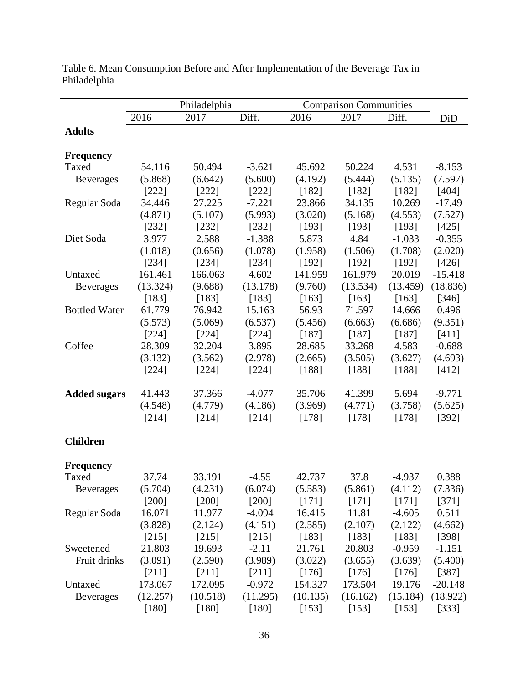| Philadelphia<br><b>Comparison Communities</b>                              |                      |
|----------------------------------------------------------------------------|----------------------|
| 2016<br>2017<br>Diff.<br>2016<br>2017<br>Diff.                             | DiD                  |
| <b>Adults</b>                                                              |                      |
|                                                                            |                      |
| <b>Frequency</b>                                                           |                      |
| Taxed<br>54.116<br>50.494<br>$-3.621$<br>50.224<br>45.692                  | 4.531<br>$-8.153$    |
| (5.868)<br>(5.600)<br>(6.642)<br>(4.192)<br>(5.444)<br><b>Beverages</b>    | (5.135)<br>(7.597)   |
| [222]<br>$[222]$<br>[182]<br>[182]<br>[222]                                | [182]<br>[404]       |
| 34.446<br>27.225<br>$-7.221$<br>23.866<br>34.135<br>Regular Soda           | $-17.49$<br>10.269   |
| (5.993)<br>(3.020)<br>(4.871)<br>(5.107)<br>(5.168)                        | (4.553)<br>(7.527)   |
| [232]<br>[232]<br>[232]<br>[193]<br>[193]                                  | [193]<br>[425]       |
| Diet Soda<br>3.977<br>2.588<br>$-1.388$<br>5.873<br>4.84                   | $-1.033$<br>$-0.355$ |
| (1.018)<br>(1.506)<br>(0.656)<br>(1.078)<br>(1.958)                        | (1.708)<br>(2.020)   |
| [234]<br>[234]<br>[234]<br>[192]<br>[192]                                  | [192]<br>[426]       |
| 161.461<br>166.063<br>4.602<br>141.959<br>161.979<br>Untaxed               | $-15.418$<br>20.019  |
| (13.324)<br>(9.688)<br>(9.760)<br>(13.534)<br>(13.178)<br><b>Beverages</b> | (13.459)<br>(18.836) |
| [183]<br>[183]<br>[183]<br>[163]<br>[163]                                  | [163]<br>[346]       |
| 61.779<br>56.93<br><b>Bottled Water</b><br>76.942<br>15.163<br>71.597      | 0.496<br>14.666      |
| (5.573)<br>(5.069)<br>(6.537)<br>(6.663)<br>(5.456)                        | (9.351)<br>(6.686)   |
| [224]<br>[224]<br>[224]<br>[187]<br>[187]                                  | [187]<br>[411]       |
| 32.204<br>3.895<br>Coffee<br>28.309<br>28.685<br>33.268                    | 4.583<br>$-0.688$    |
| (3.132)<br>(3.562)<br>(2.978)<br>(2.665)<br>(3.505)                        | (3.627)<br>(4.693)   |
| [224]<br>[224]<br>[224]<br>[188]<br>[188]                                  | [412]<br>[188]       |
|                                                                            |                      |
| 41.443<br>$-4.077$<br>35.706<br>41.399<br><b>Added sugars</b><br>37.366    | 5.694<br>$-9.771$    |
| (4.548)<br>(4.771)<br>(4.779)<br>(4.186)<br>(3.969)                        | (3.758)<br>(5.625)   |
| [214]<br>[178]<br>[178]<br>[214]<br>[214]                                  | [178]<br>[392]       |
| <b>Children</b>                                                            |                      |
| <b>Frequency</b>                                                           |                      |
| 33.191<br>Taxed<br>37.74<br>$-4.55$<br>42.737<br>37.8                      | 0.388<br>$-4.937$    |
| (5.583)<br>(5.861)<br>(5.704)<br>(4.231)<br>(6.074)<br><b>Beverages</b>    | (4.112)<br>(7.336)   |
| $[200]$<br>$[200]$<br>$[200]$<br>[171]<br>[171]                            | [171]<br>[371]       |
| 16.071<br>$-4.094$<br>16.415<br>11.81<br>Regular Soda<br>11.977            | $-4.605$<br>0.511    |
| (3.828)<br>(2.124)<br>(4.151)<br>(2.585)<br>(2.107)                        | (2.122)<br>(4.662)   |
| [215]<br>[215]<br>[215]<br>[183]<br>[183]                                  | [183]<br>[398]       |
| $-2.11$<br>21.803<br>19.693<br>21.761<br>20.803<br>Sweetened               | $-0.959$<br>$-1.151$ |
| Fruit drinks<br>(3.091)<br>(2.590)<br>(3.989)<br>(3.022)<br>(3.655)        | (3.639)<br>(5.400)   |
| [211]<br>$[211]$<br>[176]<br>$[211]$<br>[176]                              | [176]<br>[387]       |
| 173.067<br>172.095<br>$-0.972$<br>154.327<br>173.504<br>Untaxed            | 19.176<br>$-20.148$  |
| (12.257)<br>Beverages<br>(10.518)<br>(11.295)<br>(10.135)<br>(16.162)      | (15.184)<br>(18.922) |
| $[180]$<br>$[180]$<br>$[180]$<br>[153]<br>[153]                            | [153]<br>[333]       |

Table 6. Mean Consumption Before and After Implementation of the Beverage Tax in Philadelphia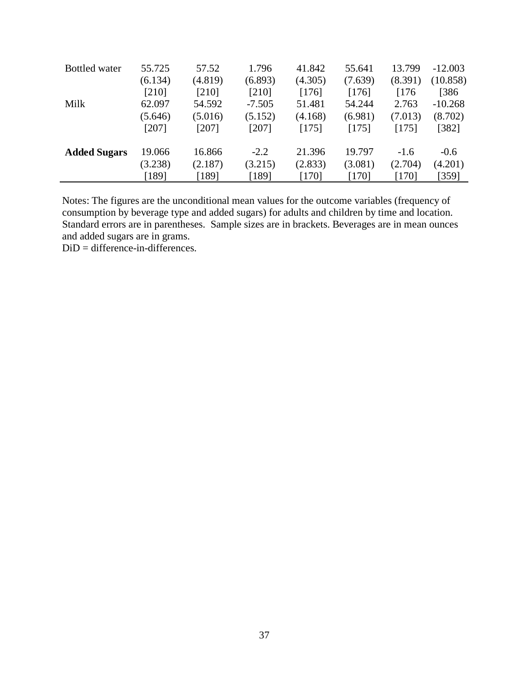| <b>Bottled</b> water | 55.725  | 57.52   | 1.796    | 41.842  | 55.641  | 13.799  | $-12.003$ |
|----------------------|---------|---------|----------|---------|---------|---------|-----------|
|                      | (6.134) | (4.819) | (6.893)  | (4.305) | (7.639) | (8.391) | (10.858)  |
|                      | [210]   | [210]   | [210]    | [176]   | [176]   | [176]   | [386]     |
| Milk                 | 62.097  | 54.592  | $-7.505$ | 51.481  | 54.244  | 2.763   | $-10.268$ |
|                      | (5.646) | (5.016) | (5.152)  | (4.168) | (6.981) | (7.013) | (8.702)   |
|                      | [207]   | [207]   | $[207]$  | [175]   | [175]   | [175]   | $[382]$   |
| <b>Added Sugars</b>  | 19.066  | 16.866  | $-2.2$   | 21.396  | 19.797  | $-1.6$  | $-0.6$    |
|                      | (3.238) | (2.187) | (3.215)  | (2.833) | (3.081) | (2.704) | (4.201)   |
|                      | [189]   | [189]   | [189]    | [170]   | [170]   | $[170]$ | $359$ ]   |

Notes: The figures are the unconditional mean values for the outcome variables (frequency of consumption by beverage type and added sugars) for adults and children by time and location. Standard errors are in parentheses. Sample sizes are in brackets. Beverages are in mean ounces and added sugars are in grams.

 $DiD = difference-in-differences.$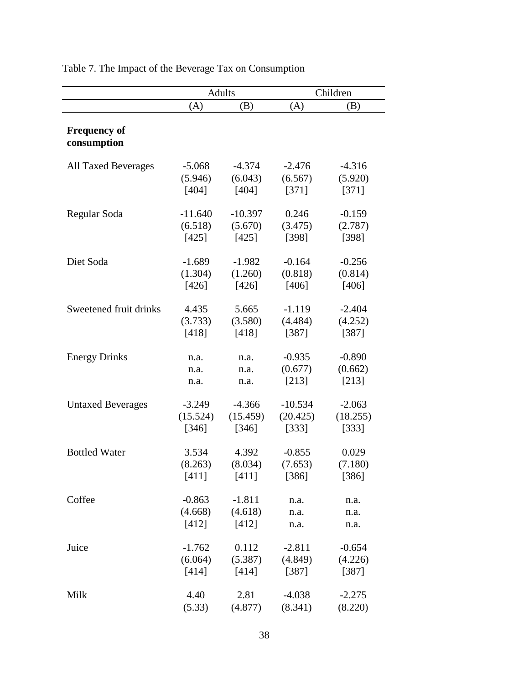|                            | <b>Adults</b>    |                  | Children            |                  |  |
|----------------------------|------------------|------------------|---------------------|------------------|--|
|                            | (A)              | (B)              | (A)                 | (B)              |  |
|                            |                  |                  |                     |                  |  |
| <b>Frequency of</b>        |                  |                  |                     |                  |  |
| consumption                |                  |                  |                     |                  |  |
|                            |                  |                  |                     |                  |  |
| <b>All Taxed Beverages</b> | $-5.068$         | $-4.374$         | $-2.476$<br>(6.567) | $-4.316$         |  |
|                            | (5.946)<br>[404] | (6.043)<br>[404] | [371]               | (5.920)<br>[371] |  |
|                            |                  |                  |                     |                  |  |
| Regular Soda               | $-11.640$        | $-10.397$        | 0.246               | $-0.159$         |  |
|                            | (6.518)          | (5.670)          | (3.475)             | (2.787)          |  |
|                            | [425]            | [425]            | [398]               | [398]            |  |
|                            |                  |                  |                     |                  |  |
| Diet Soda                  | $-1.689$         | $-1.982$         | $-0.164$            | $-0.256$         |  |
|                            | (1.304)          | (1.260)          | (0.818)             | (0.814)          |  |
|                            | [426]            | [426]            | [406]               | [406]            |  |
|                            |                  |                  |                     |                  |  |
| Sweetened fruit drinks     | 4.435            | 5.665            | $-1.119$            | $-2.404$         |  |
|                            | (3.733)          | (3.580)          | (4.484)             | (4.252)          |  |
|                            | [418]            | [418]            | [387]               | [387]            |  |
|                            |                  |                  |                     |                  |  |
| <b>Energy Drinks</b>       | n.a.             | n.a.             | $-0.935$            | $-0.890$         |  |
|                            | n.a.             | n.a.             | (0.677)             | (0.662)          |  |
|                            | n.a.             | n.a.             | [213]               | [213]            |  |
| <b>Untaxed Beverages</b>   | $-3.249$         | $-4.366$         | $-10.534$           | $-2.063$         |  |
|                            | (15.524)         | (15.459)         | (20.425)            | (18.255)         |  |
|                            | [346]            | [346]            | [333]               | [333]            |  |
|                            |                  |                  |                     |                  |  |
| <b>Bottled Water</b>       | 3.534            | 4.392            | $-0.855$            | 0.029            |  |
|                            | (8.263)          | (8.034)          | (7.653)             | (7.180)          |  |
|                            | [411]            | [411]            | [386]               | [386]            |  |
|                            |                  |                  |                     |                  |  |
| Coffee                     | $-0.863$         | $-1.811$         | n.a.                | n.a.             |  |
|                            | (4.668)          | (4.618)          | n.a.                | n.a.             |  |
|                            | [412]            | [412]            | n.a.                | n.a.             |  |
|                            |                  |                  |                     |                  |  |
| Juice                      | $-1.762$         | 0.112            | $-2.811$            | $-0.654$         |  |
|                            | (6.064)          | (5.387)          | (4.849)             | (4.226)          |  |
|                            | [414]            | [414]            | [387]               | [387]            |  |
|                            |                  |                  |                     |                  |  |
| Milk                       | 4.40             | 2.81             | $-4.038$            | $-2.275$         |  |
|                            | (5.33)           | (4.877)          | (8.341)             | (8.220)          |  |

Table 7. The Impact of the Beverage Tax on Consumption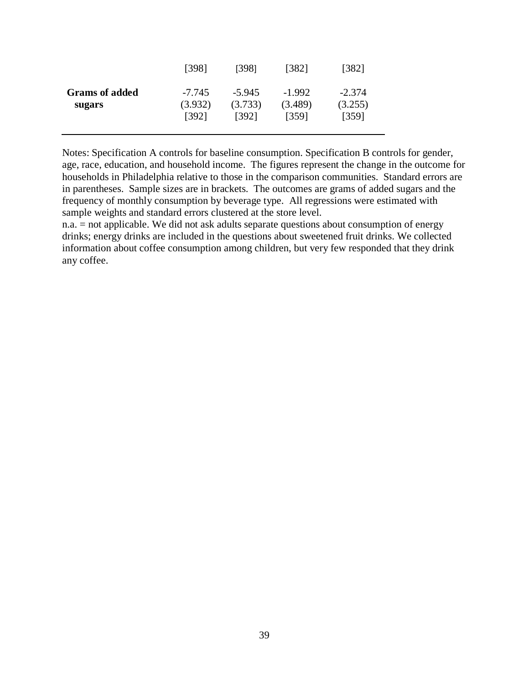|                                 | [398]                        | [398]                        | [382]                        | [382]                        |
|---------------------------------|------------------------------|------------------------------|------------------------------|------------------------------|
| <b>Grams</b> of added<br>sugars | $-7.745$<br>(3.932)<br>[392] | $-5.945$<br>(3.733)<br>[392] | $-1.992$<br>(3.489)<br>[359] | $-2.374$<br>(3.255)<br>[359] |

Notes: Specification A controls for baseline consumption. Specification B controls for gender, age, race, education, and household income. The figures represent the change in the outcome for households in Philadelphia relative to those in the comparison communities. Standard errors are in parentheses. Sample sizes are in brackets. The outcomes are grams of added sugars and the frequency of monthly consumption by beverage type. All regressions were estimated with sample weights and standard errors clustered at the store level.

n.a. = not applicable. We did not ask adults separate questions about consumption of energy drinks; energy drinks are included in the questions about sweetened fruit drinks. We collected information about coffee consumption among children, but very few responded that they drink any coffee.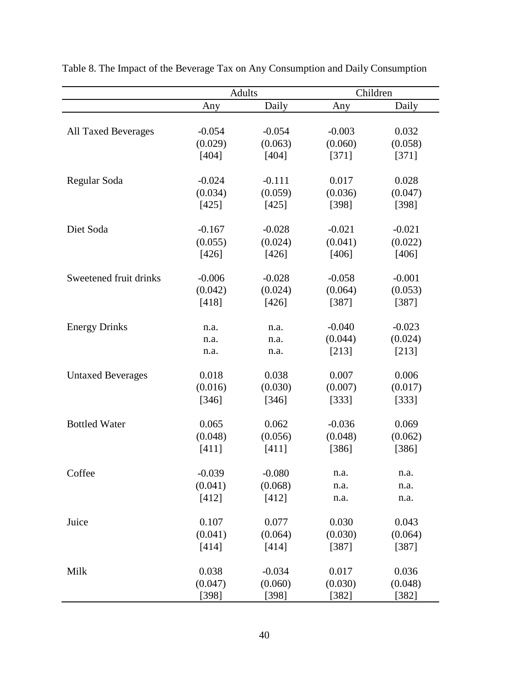|                            |          | <b>Adults</b> | Children |          |
|----------------------------|----------|---------------|----------|----------|
|                            | Any      | Daily         | Any      | Daily    |
|                            |          |               |          |          |
| <b>All Taxed Beverages</b> | $-0.054$ | $-0.054$      | $-0.003$ | 0.032    |
|                            | (0.029)  | (0.063)       | (0.060)  | (0.058)  |
|                            | [404]    | [404]         | [371]    | [371]    |
|                            |          |               |          |          |
| Regular Soda               | $-0.024$ | $-0.111$      | 0.017    | 0.028    |
|                            | (0.034)  | (0.059)       | (0.036)  | (0.047)  |
|                            | [425]    | [425]         | [398]    | [398]    |
| Diet Soda                  | $-0.167$ | $-0.028$      | $-0.021$ | $-0.021$ |
|                            | (0.055)  | (0.024)       | (0.041)  | (0.022)  |
|                            | [426]    | [426]         | [406]    | [406]    |
|                            |          |               |          |          |
| Sweetened fruit drinks     | $-0.006$ | $-0.028$      | $-0.058$ | $-0.001$ |
|                            | (0.042)  | (0.024)       | (0.064)  | (0.053)  |
|                            | [418]    | [426]         | [387]    | [387]    |
|                            |          |               |          |          |
| <b>Energy Drinks</b>       | n.a.     | n.a.          | $-0.040$ | $-0.023$ |
|                            | n.a.     | n.a.          | (0.044)  | (0.024)  |
|                            | n.a.     | n.a.          | [213]    | [213]    |
| <b>Untaxed Beverages</b>   | 0.018    | 0.038         | 0.007    | 0.006    |
|                            | (0.016)  | (0.030)       | (0.007)  | (0.017)  |
|                            | [346]    | [346]         | [333]    | [333]    |
|                            |          |               |          |          |
| <b>Bottled Water</b>       | 0.065    | 0.062         | $-0.036$ | 0.069    |
|                            | (0.048)  | (0.056)       | (0.048)  | (0.062)  |
|                            | [411]    | $[411]$       | [386]    | [386]    |
|                            |          |               |          |          |
| Coffee                     | $-0.039$ | $-0.080$      | n.a.     | n.a.     |
|                            | (0.041)  | (0.068)       | n.a.     | n.a.     |
|                            | [412]    | [412]         | n.a.     | n.a.     |
| Juice                      | 0.107    | 0.077         | 0.030    | 0.043    |
|                            | (0.041)  | (0.064)       | (0.030)  | (0.064)  |
|                            | [414]    | [414]         | [387]    | [387]    |
|                            |          |               |          |          |
| Milk                       | 0.038    | $-0.034$      | 0.017    | 0.036    |
|                            | (0.047)  | (0.060)       | (0.030)  | (0.048)  |
|                            | [398]    | [398]         | $[382]$  | $[382]$  |

Table 8. The Impact of the Beverage Tax on Any Consumption and Daily Consumption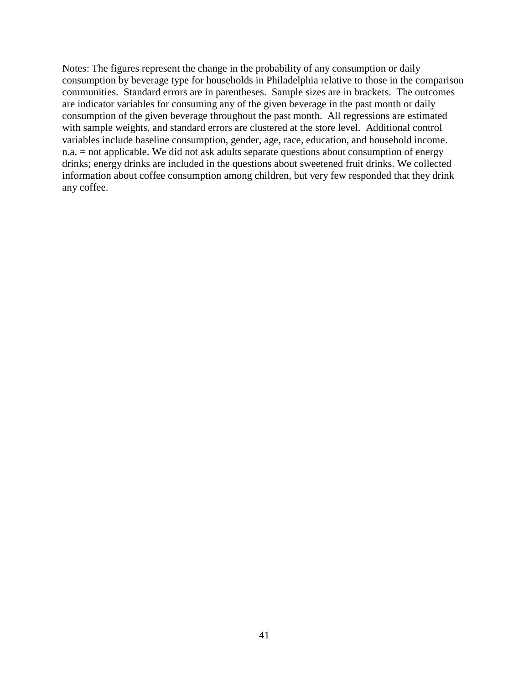Notes: The figures represent the change in the probability of any consumption or daily consumption by beverage type for households in Philadelphia relative to those in the comparison communities. Standard errors are in parentheses. Sample sizes are in brackets. The outcomes are indicator variables for consuming any of the given beverage in the past month or daily consumption of the given beverage throughout the past month. All regressions are estimated with sample weights, and standard errors are clustered at the store level. Additional control variables include baseline consumption, gender, age, race, education, and household income. n.a. = not applicable. We did not ask adults separate questions about consumption of energy drinks; energy drinks are included in the questions about sweetened fruit drinks. We collected information about coffee consumption among children, but very few responded that they drink any coffee.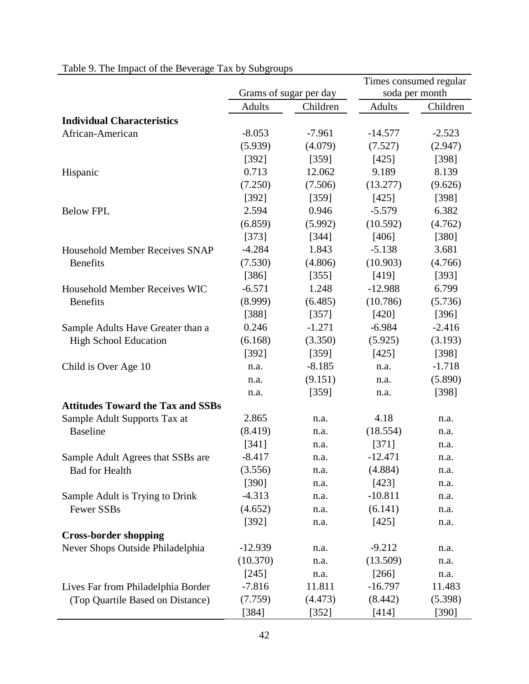|                                          |               |                        | Times consumed regular |                |  |
|------------------------------------------|---------------|------------------------|------------------------|----------------|--|
|                                          |               | Grams of sugar per day |                        | soda per month |  |
|                                          | <b>Adults</b> | Children               | <b>Adults</b>          | Children       |  |
| <b>Individual Characteristics</b>        |               |                        |                        |                |  |
| African-American                         | $-8.053$      | $-7.961$               | $-14.577$              | $-2.523$       |  |
|                                          | (5.939)       | (4.079)                | (7.527)                | (2.947)        |  |
|                                          | [392]         | [359]                  | [425]                  | [398]          |  |
| Hispanic                                 | 0.713         | 12.062                 | 9.189                  | 8.139          |  |
|                                          | (7.250)       | (7.506)                | (13.277)               | (9.626)        |  |
|                                          | [392]         | [359]                  | [425]                  | [398]          |  |
| <b>Below FPL</b>                         | 2.594         | 0.946                  | $-5.579$               | 6.382          |  |
|                                          | (6.859)       | (5.992)                | (10.592)               | (4.762)        |  |
|                                          | [373]         | [344]                  | [406]                  | [380]          |  |
| <b>Household Member Receives SNAP</b>    | $-4.284$      | 1.843                  | $-5.138$               | 3.681          |  |
| <b>Benefits</b>                          | (7.530)       | (4.806)                | (10.903)               | (4.766)        |  |
|                                          | [386]         | [355]                  | [419]                  | [393]          |  |
| <b>Household Member Receives WIC</b>     | $-6.571$      | 1.248                  | $-12.988$              | 6.799          |  |
| <b>Benefits</b>                          | (8.999)       | (6.485)                | (10.786)               | (5.736)        |  |
|                                          | [388]         | [357]                  | [420]                  | [396]          |  |
| Sample Adults Have Greater than a        | 0.246         | $-1.271$               | $-6.984$               | $-2.416$       |  |
| <b>High School Education</b>             | (6.168)       | (3.350)                | (5.925)                | (3.193)        |  |
|                                          | [392]         | [359]                  | [425]                  | [398]          |  |
| Child is Over Age 10                     | n.a.          | $-8.185$               | n.a.                   | $-1.718$       |  |
|                                          | n.a.          | (9.151)                | n.a.                   | (5.890)        |  |
|                                          | n.a.          | [359]                  | n.a.                   | [398]          |  |
| <b>Attitudes Toward the Tax and SSBs</b> |               |                        |                        |                |  |
| Sample Adult Supports Tax at             | 2.865         | n.a.                   | 4.18                   | n.a.           |  |
| <b>Baseline</b>                          | (8.419)       | n.a.                   | (18.554)               | n.a.           |  |
|                                          | [341]         | n.a.                   | [371]                  | n.a.           |  |
| Sample Adult Agrees that SSBs are        | $-8.417$      | n.a.                   | $-12.471$              | n.a.           |  |
| Bad for Health                           | (3.556)       | n.a.                   | (4.884)                | n.a.           |  |
|                                          | [390]         | n.a.                   | [423]                  | n.a.           |  |
| Sample Adult is Trying to Drink          | $-4.313$      | n.a.                   | $-10.811$              | n.a.           |  |
| Fewer SSBs                               | (4.652)       | n.a.                   | (6.141)                | n.a.           |  |
|                                          | [392]         | n.a.                   | [425]                  | n.a.           |  |
| <b>Cross-border shopping</b>             |               |                        |                        |                |  |
| Never Shops Outside Philadelphia         | $-12.939$     | n.a.                   | $-9.212$               | n.a.           |  |
|                                          | (10.370)      | n.a.                   | (13.509)               | n.a.           |  |
|                                          | [245]         | n.a.                   | $[266]$                | n.a.           |  |
| Lives Far from Philadelphia Border       | $-7.816$      | 11.811                 | $-16.797$              | 11.483         |  |
| (Top Quartile Based on Distance)         | (7.759)       | (4.473)                | (8.442)                | (5.398)        |  |
|                                          | [384]         | $[352]$                | [414]                  | $[390]$        |  |

# Table 9. The Impact of the Beverage Tax by Subgroups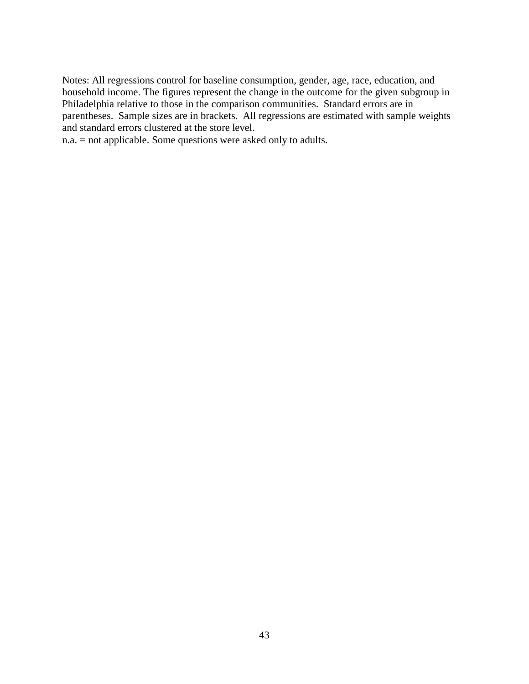Notes: All regressions control for baseline consumption, gender, age, race, education, and household income. The figures represent the change in the outcome for the given subgroup in Philadelphia relative to those in the comparison communities. Standard errors are in parentheses. Sample sizes are in brackets. All regressions are estimated with sample weights and standard errors clustered at the store level.

n.a. = not applicable. Some questions were asked only to adults.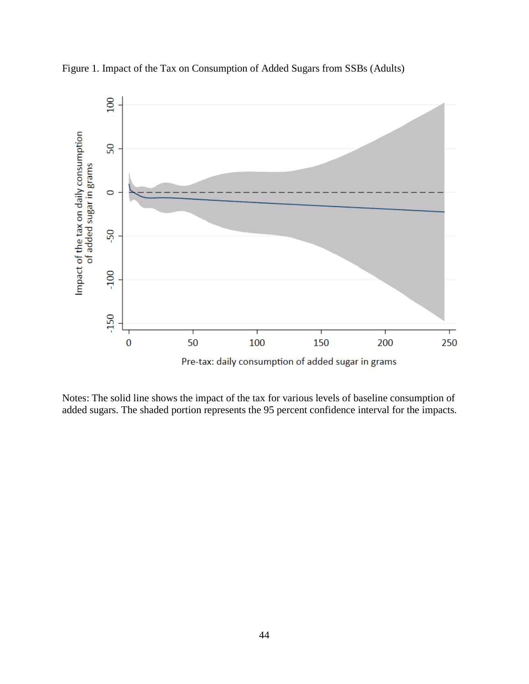

Figure 1. Impact of the Tax on Consumption of Added Sugars from SSBs (Adults)

Notes: The solid line shows the impact of the tax for various levels of baseline consumption of added sugars. The shaded portion represents the 95 percent confidence interval for the impacts.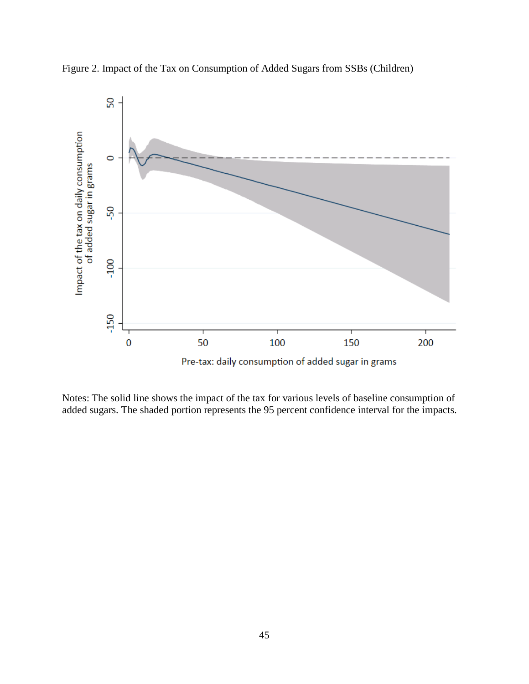

Figure 2. Impact of the Tax on Consumption of Added Sugars from SSBs (Children)

Notes: The solid line shows the impact of the tax for various levels of baseline consumption of added sugars. The shaded portion represents the 95 percent confidence interval for the impacts.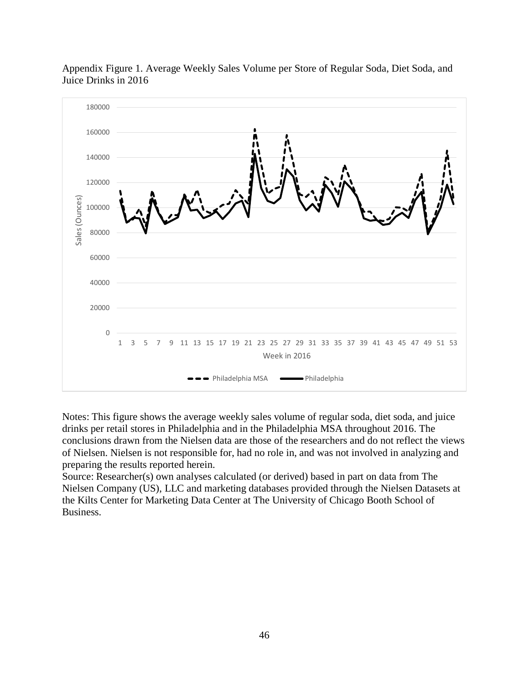

Appendix Figure 1. Average Weekly Sales Volume per Store of Regular Soda, Diet Soda, and Juice Drinks in 2016

Notes: This figure shows the average weekly sales volume of regular soda, diet soda, and juice drinks per retail stores in Philadelphia and in the Philadelphia MSA throughout 2016. The conclusions drawn from the Nielsen data are those of the researchers and do not reflect the views of Nielsen. Nielsen is not responsible for, had no role in, and was not involved in analyzing and preparing the results reported herein.

Source: Researcher(s) own analyses calculated (or derived) based in part on data from The Nielsen Company (US), LLC and marketing databases provided through the Nielsen Datasets at the Kilts Center for Marketing Data Center at The University of Chicago Booth School of Business.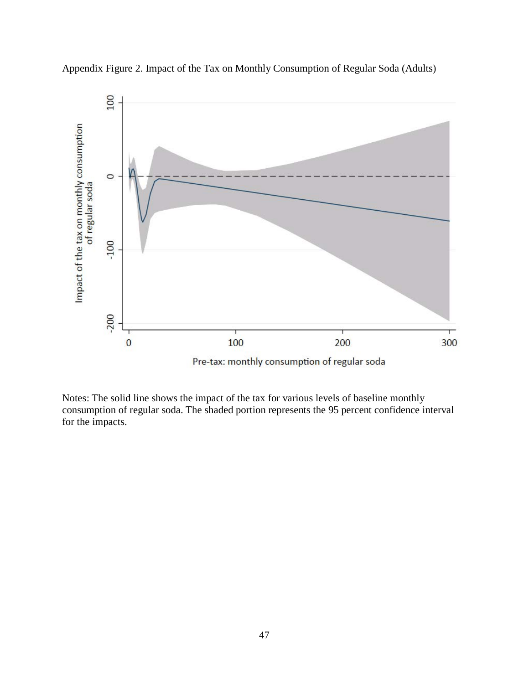

Appendix Figure 2. Impact of the Tax on Monthly Consumption of Regular Soda (Adults)

Notes: The solid line shows the impact of the tax for various levels of baseline monthly consumption of regular soda. The shaded portion represents the 95 percent confidence interval for the impacts.